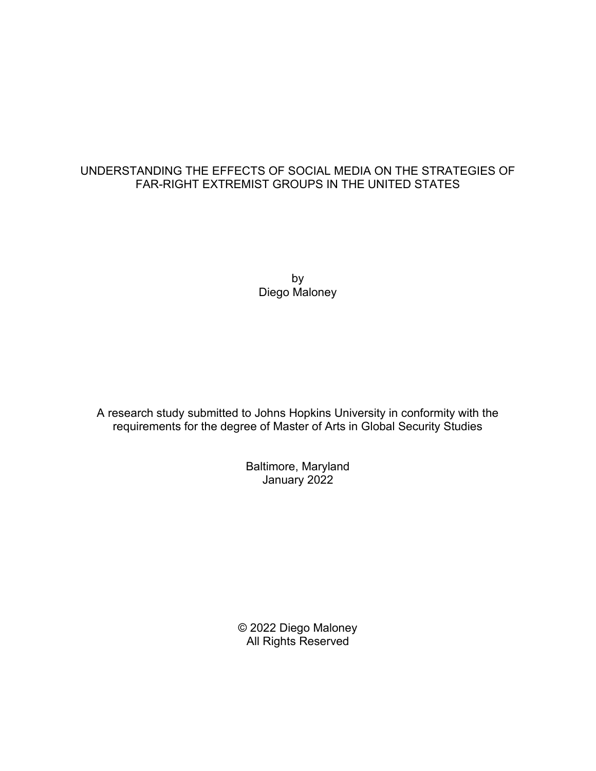## UNDERSTANDING THE EFFECTS OF SOCIAL MEDIA ON THE STRATEGIES OF FAR-RIGHT EXTREMIST GROUPS IN THE UNITED STATES

by Diego Maloney

A research study submitted to Johns Hopkins University in conformity with the requirements for the degree of Master of Arts in Global Security Studies

> Baltimore, Maryland January 2022

© 2022 Diego Maloney All Rights Reserved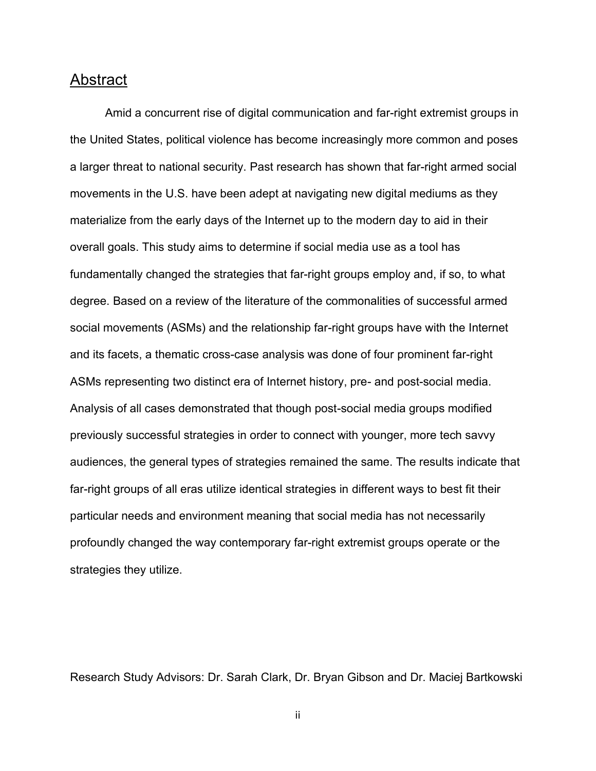# <span id="page-1-0"></span>Abstract

Amid a concurrent rise of digital communication and far-right extremist groups in the United States, political violence has become increasingly more common and poses a larger threat to national security. Past research has shown that far-right armed social movements in the U.S. have been adept at navigating new digital mediums as they materialize from the early days of the Internet up to the modern day to aid in their overall goals. This study aims to determine if social media use as a tool has fundamentally changed the strategies that far-right groups employ and, if so, to what degree. Based on a review of the literature of the commonalities of successful armed social movements (ASMs) and the relationship far-right groups have with the Internet and its facets, a thematic cross-case analysis was done of four prominent far-right ASMs representing two distinct era of Internet history, pre- and post-social media. Analysis of all cases demonstrated that though post-social media groups modified previously successful strategies in order to connect with younger, more tech savvy audiences, the general types of strategies remained the same. The results indicate that far-right groups of all eras utilize identical strategies in different ways to best fit their particular needs and environment meaning that social media has not necessarily profoundly changed the way contemporary far-right extremist groups operate or the strategies they utilize.

Research Study Advisors: Dr. Sarah Clark, Dr. Bryan Gibson and Dr. Maciej Bartkowski

ii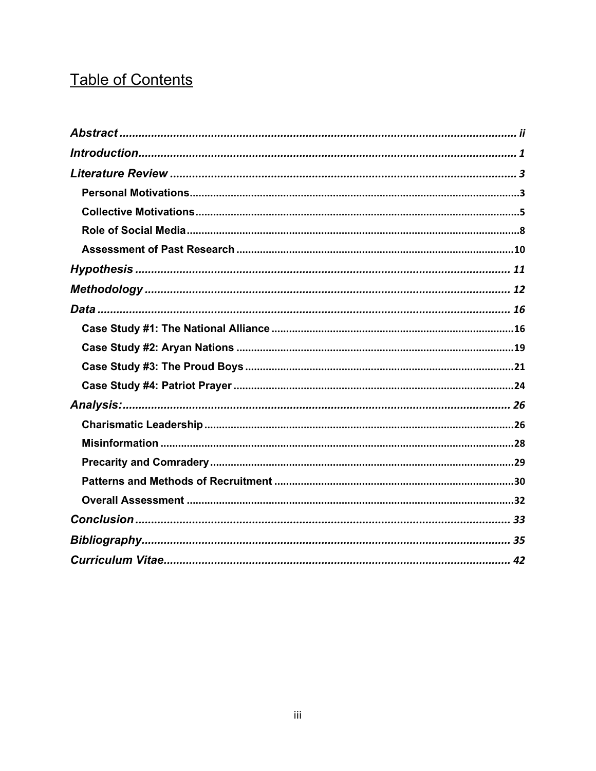# **Table of Contents**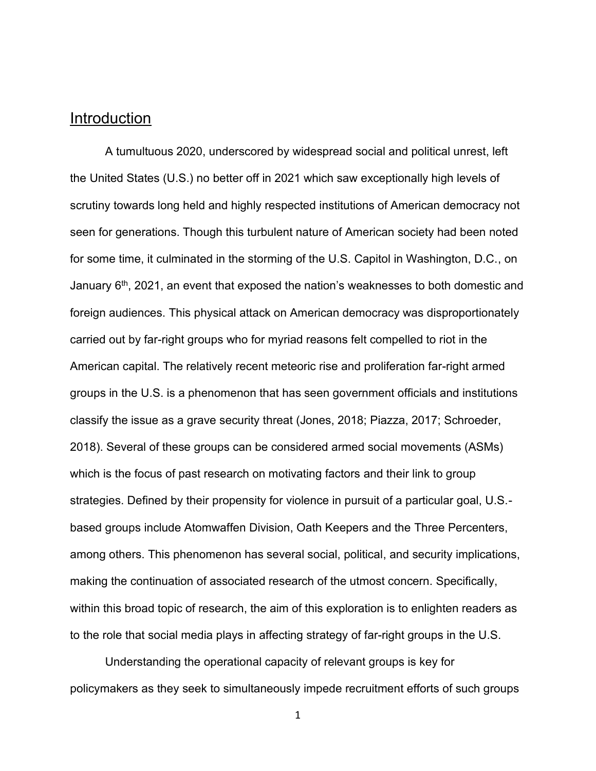# <span id="page-3-0"></span>Introduction

A tumultuous 2020, underscored by widespread social and political unrest, left the United States (U.S.) no better off in 2021 which saw exceptionally high levels of scrutiny towards long held and highly respected institutions of American democracy not seen for generations. Though this turbulent nature of American society had been noted for some time, it culminated in the storming of the U.S. Capitol in Washington, D.C., on January  $6<sup>th</sup>$ , 2021, an event that exposed the nation's weaknesses to both domestic and foreign audiences. This physical attack on American democracy was disproportionately carried out by far-right groups who for myriad reasons felt compelled to riot in the American capital. The relatively recent meteoric rise and proliferation far-right armed groups in the U.S. is a phenomenon that has seen government officials and institutions classify the issue as a grave security threat (Jones, 2018; Piazza, 2017; Schroeder, 2018). Several of these groups can be considered armed social movements (ASMs) which is the focus of past research on motivating factors and their link to group strategies. Defined by their propensity for violence in pursuit of a particular goal, U.S. based groups include Atomwaffen Division, Oath Keepers and the Three Percenters, among others. This phenomenon has several social, political, and security implications, making the continuation of associated research of the utmost concern. Specifically, within this broad topic of research, the aim of this exploration is to enlighten readers as to the role that social media plays in affecting strategy of far-right groups in the U.S.

Understanding the operational capacity of relevant groups is key for policymakers as they seek to simultaneously impede recruitment efforts of such groups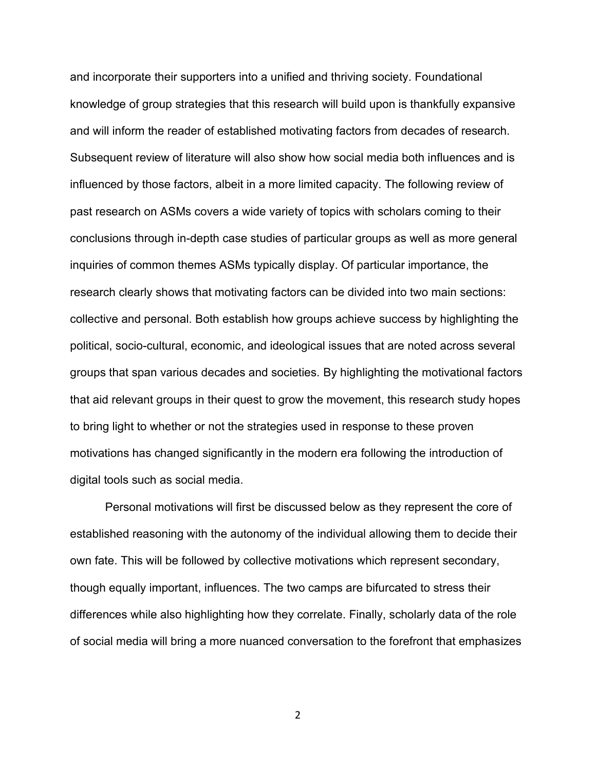and incorporate their supporters into a unified and thriving society. Foundational knowledge of group strategies that this research will build upon is thankfully expansive and will inform the reader of established motivating factors from decades of research. Subsequent review of literature will also show how social media both influences and is influenced by those factors, albeit in a more limited capacity. The following review of past research on ASMs covers a wide variety of topics with scholars coming to their conclusions through in-depth case studies of particular groups as well as more general inquiries of common themes ASMs typically display. Of particular importance, the research clearly shows that motivating factors can be divided into two main sections: collective and personal. Both establish how groups achieve success by highlighting the political, socio-cultural, economic, and ideological issues that are noted across several groups that span various decades and societies. By highlighting the motivational factors that aid relevant groups in their quest to grow the movement, this research study hopes to bring light to whether or not the strategies used in response to these proven motivations has changed significantly in the modern era following the introduction of digital tools such as social media.

Personal motivations will first be discussed below as they represent the core of established reasoning with the autonomy of the individual allowing them to decide their own fate. This will be followed by collective motivations which represent secondary, though equally important, influences. The two camps are bifurcated to stress their differences while also highlighting how they correlate. Finally, scholarly data of the role of social media will bring a more nuanced conversation to the forefront that emphasizes

 $\mathfrak{D}$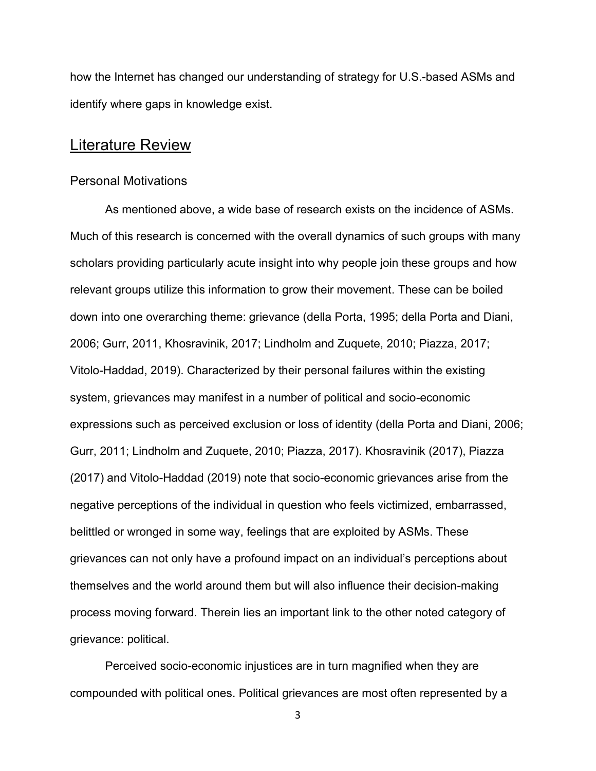how the Internet has changed our understanding of strategy for U.S.-based ASMs and identify where gaps in knowledge exist.

# <span id="page-5-0"></span>Literature Review

#### <span id="page-5-1"></span>Personal Motivations

As mentioned above, a wide base of research exists on the incidence of ASMs. Much of this research is concerned with the overall dynamics of such groups with many scholars providing particularly acute insight into why people join these groups and how relevant groups utilize this information to grow their movement. These can be boiled down into one overarching theme: grievance (della Porta, 1995; della Porta and Diani, 2006; Gurr, 2011, Khosravinik, 2017; Lindholm and Zuquete, 2010; Piazza, 2017; Vitolo-Haddad, 2019). Characterized by their personal failures within the existing system, grievances may manifest in a number of political and socio-economic expressions such as perceived exclusion or loss of identity (della Porta and Diani, 2006; Gurr, 2011; Lindholm and Zuquete, 2010; Piazza, 2017). Khosravinik (2017), Piazza (2017) and Vitolo-Haddad (2019) note that socio-economic grievances arise from the negative perceptions of the individual in question who feels victimized, embarrassed, belittled or wronged in some way, feelings that are exploited by ASMs. These grievances can not only have a profound impact on an individual's perceptions about themselves and the world around them but will also influence their decision-making process moving forward. Therein lies an important link to the other noted category of grievance: political.

Perceived socio-economic injustices are in turn magnified when they are compounded with political ones. Political grievances are most often represented by a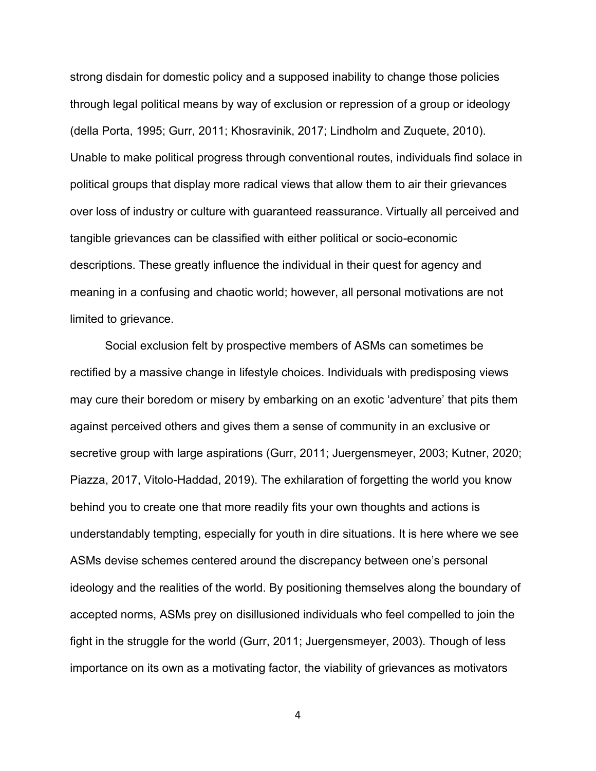strong disdain for domestic policy and a supposed inability to change those policies through legal political means by way of exclusion or repression of a group or ideology (della Porta, 1995; Gurr, 2011; Khosravinik, 2017; Lindholm and Zuquete, 2010). Unable to make political progress through conventional routes, individuals find solace in political groups that display more radical views that allow them to air their grievances over loss of industry or culture with guaranteed reassurance. Virtually all perceived and tangible grievances can be classified with either political or socio-economic descriptions. These greatly influence the individual in their quest for agency and meaning in a confusing and chaotic world; however, all personal motivations are not limited to grievance.

Social exclusion felt by prospective members of ASMs can sometimes be rectified by a massive change in lifestyle choices. Individuals with predisposing views may cure their boredom or misery by embarking on an exotic 'adventure' that pits them against perceived others and gives them a sense of community in an exclusive or secretive group with large aspirations (Gurr, 2011; Juergensmeyer, 2003; Kutner, 2020; Piazza, 2017, Vitolo-Haddad, 2019). The exhilaration of forgetting the world you know behind you to create one that more readily fits your own thoughts and actions is understandably tempting, especially for youth in dire situations. It is here where we see ASMs devise schemes centered around the discrepancy between one's personal ideology and the realities of the world. By positioning themselves along the boundary of accepted norms, ASMs prey on disillusioned individuals who feel compelled to join the fight in the struggle for the world (Gurr, 2011; Juergensmeyer, 2003). Though of less importance on its own as a motivating factor, the viability of grievances as motivators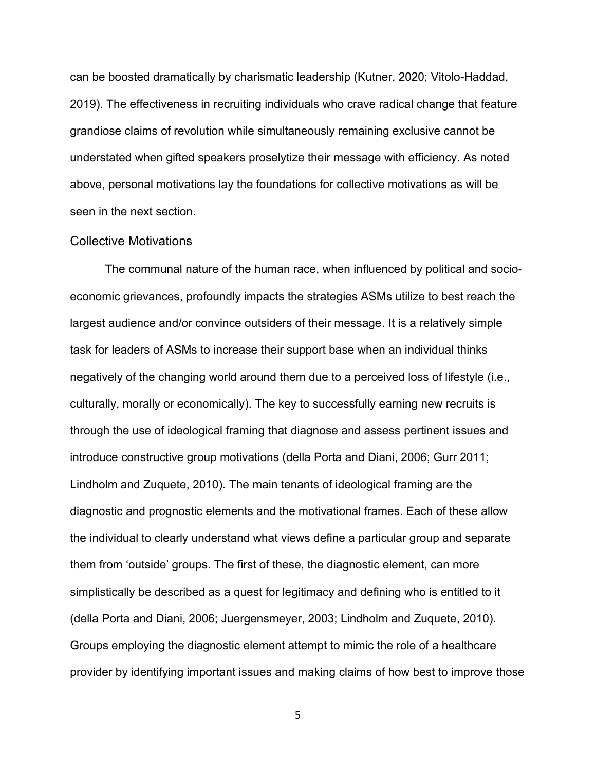can be boosted dramatically by charismatic leadership (Kutner, 2020; Vitolo-Haddad, 2019). The effectiveness in recruiting individuals who crave radical change that feature grandiose claims of revolution while simultaneously remaining exclusive cannot be understated when gifted speakers proselytize their message with efficiency. As noted above, personal motivations lay the foundations for collective motivations as will be seen in the next section.

#### <span id="page-7-0"></span>Collective Motivations

The communal nature of the human race, when influenced by political and socioeconomic grievances, profoundly impacts the strategies ASMs utilize to best reach the largest audience and/or convince outsiders of their message. It is a relatively simple task for leaders of ASMs to increase their support base when an individual thinks negatively of the changing world around them due to a perceived loss of lifestyle (i.e., culturally, morally or economically). The key to successfully earning new recruits is through the use of ideological framing that diagnose and assess pertinent issues and introduce constructive group motivations (della Porta and Diani, 2006; Gurr 2011; Lindholm and Zuquete, 2010). The main tenants of ideological framing are the diagnostic and prognostic elements and the motivational frames. Each of these allow the individual to clearly understand what views define a particular group and separate them from 'outside' groups. The first of these, the diagnostic element, can more simplistically be described as a quest for legitimacy and defining who is entitled to it (della Porta and Diani, 2006; Juergensmeyer, 2003; Lindholm and Zuquete, 2010). Groups employing the diagnostic element attempt to mimic the role of a healthcare provider by identifying important issues and making claims of how best to improve those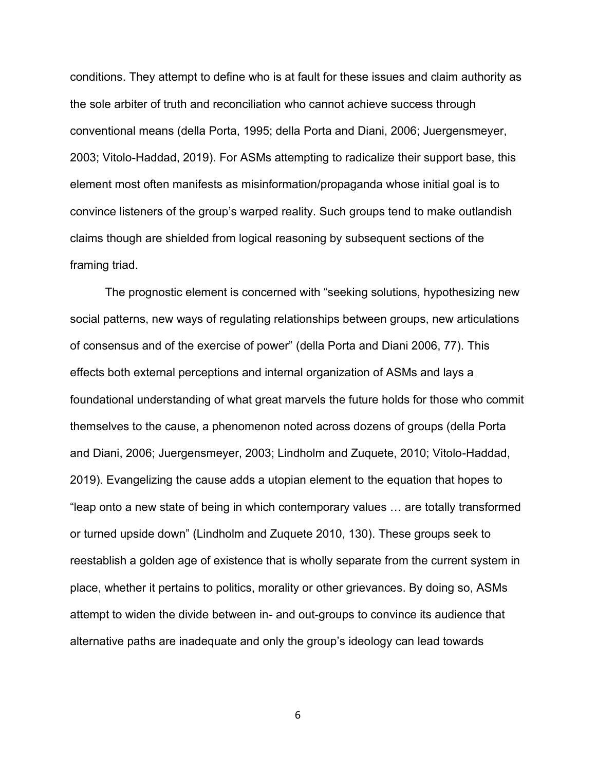conditions. They attempt to define who is at fault for these issues and claim authority as the sole arbiter of truth and reconciliation who cannot achieve success through conventional means (della Porta, 1995; della Porta and Diani, 2006; Juergensmeyer, 2003; Vitolo-Haddad, 2019). For ASMs attempting to radicalize their support base, this element most often manifests as misinformation/propaganda whose initial goal is to convince listeners of the group's warped reality. Such groups tend to make outlandish claims though are shielded from logical reasoning by subsequent sections of the framing triad.

The prognostic element is concerned with "seeking solutions, hypothesizing new social patterns, new ways of regulating relationships between groups, new articulations of consensus and of the exercise of power" (della Porta and Diani 2006, 77). This effects both external perceptions and internal organization of ASMs and lays a foundational understanding of what great marvels the future holds for those who commit themselves to the cause, a phenomenon noted across dozens of groups (della Porta and Diani, 2006; Juergensmeyer, 2003; Lindholm and Zuquete, 2010; Vitolo-Haddad, 2019). Evangelizing the cause adds a utopian element to the equation that hopes to "leap onto a new state of being in which contemporary values … are totally transformed or turned upside down" (Lindholm and Zuquete 2010, 130). These groups seek to reestablish a golden age of existence that is wholly separate from the current system in place, whether it pertains to politics, morality or other grievances. By doing so, ASMs attempt to widen the divide between in- and out-groups to convince its audience that alternative paths are inadequate and only the group's ideology can lead towards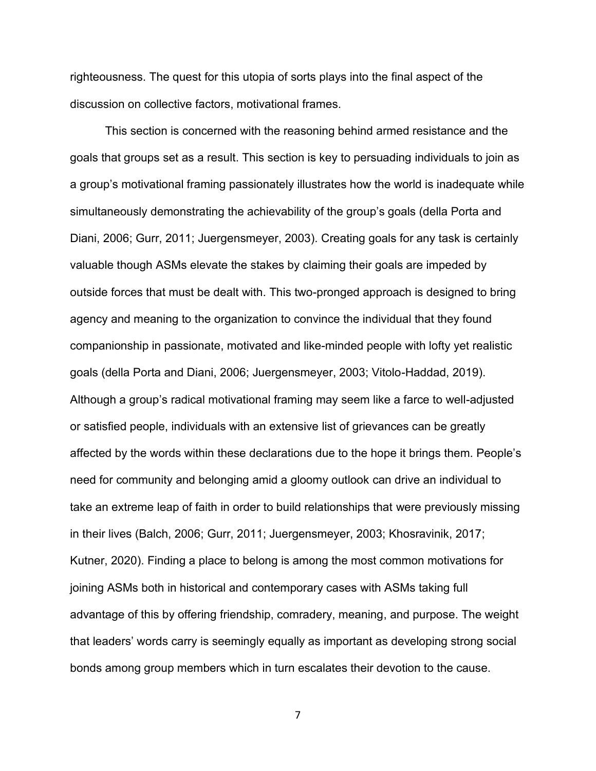righteousness. The quest for this utopia of sorts plays into the final aspect of the discussion on collective factors, motivational frames.

This section is concerned with the reasoning behind armed resistance and the goals that groups set as a result. This section is key to persuading individuals to join as a group's motivational framing passionately illustrates how the world is inadequate while simultaneously demonstrating the achievability of the group's goals (della Porta and Diani, 2006; Gurr, 2011; Juergensmeyer, 2003). Creating goals for any task is certainly valuable though ASMs elevate the stakes by claiming their goals are impeded by outside forces that must be dealt with. This two-pronged approach is designed to bring agency and meaning to the organization to convince the individual that they found companionship in passionate, motivated and like-minded people with lofty yet realistic goals (della Porta and Diani, 2006; Juergensmeyer, 2003; Vitolo-Haddad, 2019). Although a group's radical motivational framing may seem like a farce to well-adjusted or satisfied people, individuals with an extensive list of grievances can be greatly affected by the words within these declarations due to the hope it brings them. People's need for community and belonging amid a gloomy outlook can drive an individual to take an extreme leap of faith in order to build relationships that were previously missing in their lives (Balch, 2006; Gurr, 2011; Juergensmeyer, 2003; Khosravinik, 2017; Kutner, 2020). Finding a place to belong is among the most common motivations for joining ASMs both in historical and contemporary cases with ASMs taking full advantage of this by offering friendship, comradery, meaning, and purpose. The weight that leaders' words carry is seemingly equally as important as developing strong social bonds among group members which in turn escalates their devotion to the cause.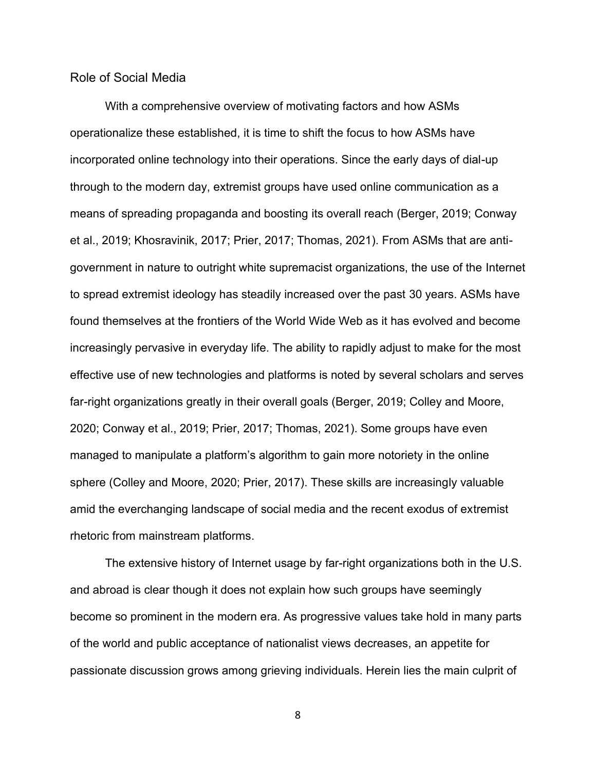#### <span id="page-10-0"></span>Role of Social Media

With a comprehensive overview of motivating factors and how ASMs operationalize these established, it is time to shift the focus to how ASMs have incorporated online technology into their operations. Since the early days of dial-up through to the modern day, extremist groups have used online communication as a means of spreading propaganda and boosting its overall reach (Berger, 2019; Conway et al., 2019; Khosravinik, 2017; Prier, 2017; Thomas, 2021). From ASMs that are antigovernment in nature to outright white supremacist organizations, the use of the Internet to spread extremist ideology has steadily increased over the past 30 years. ASMs have found themselves at the frontiers of the World Wide Web as it has evolved and become increasingly pervasive in everyday life. The ability to rapidly adjust to make for the most effective use of new technologies and platforms is noted by several scholars and serves far-right organizations greatly in their overall goals (Berger, 2019; Colley and Moore, 2020; Conway et al., 2019; Prier, 2017; Thomas, 2021). Some groups have even managed to manipulate a platform's algorithm to gain more notoriety in the online sphere (Colley and Moore, 2020; Prier, 2017). These skills are increasingly valuable amid the everchanging landscape of social media and the recent exodus of extremist rhetoric from mainstream platforms.

The extensive history of Internet usage by far-right organizations both in the U.S. and abroad is clear though it does not explain how such groups have seemingly become so prominent in the modern era. As progressive values take hold in many parts of the world and public acceptance of nationalist views decreases, an appetite for passionate discussion grows among grieving individuals. Herein lies the main culprit of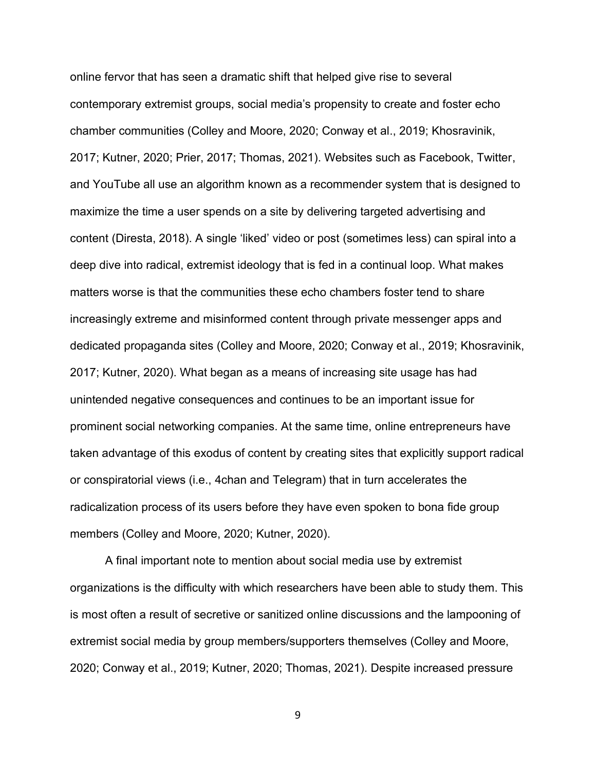online fervor that has seen a dramatic shift that helped give rise to several contemporary extremist groups, social media's propensity to create and foster echo chamber communities (Colley and Moore, 2020; Conway et al., 2019; Khosravinik, 2017; Kutner, 2020; Prier, 2017; Thomas, 2021). Websites such as Facebook, Twitter, and YouTube all use an algorithm known as a recommender system that is designed to maximize the time a user spends on a site by delivering targeted advertising and content (Diresta, 2018). A single 'liked' video or post (sometimes less) can spiral into a deep dive into radical, extremist ideology that is fed in a continual loop. What makes matters worse is that the communities these echo chambers foster tend to share increasingly extreme and misinformed content through private messenger apps and dedicated propaganda sites (Colley and Moore, 2020; Conway et al., 2019; Khosravinik, 2017; Kutner, 2020). What began as a means of increasing site usage has had unintended negative consequences and continues to be an important issue for prominent social networking companies. At the same time, online entrepreneurs have taken advantage of this exodus of content by creating sites that explicitly support radical or conspiratorial views (i.e., 4chan and Telegram) that in turn accelerates the radicalization process of its users before they have even spoken to bona fide group members (Colley and Moore, 2020; Kutner, 2020).

A final important note to mention about social media use by extremist organizations is the difficulty with which researchers have been able to study them. This is most often a result of secretive or sanitized online discussions and the lampooning of extremist social media by group members/supporters themselves (Colley and Moore, 2020; Conway et al., 2019; Kutner, 2020; Thomas, 2021). Despite increased pressure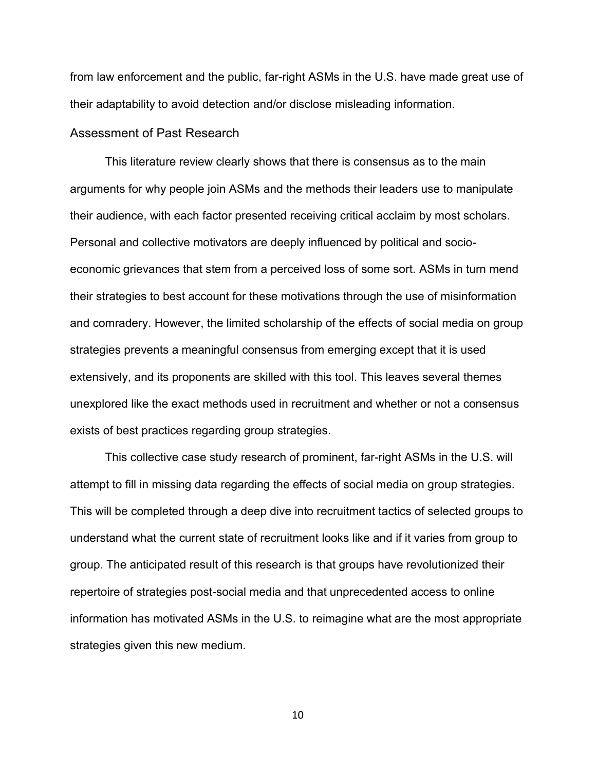from law enforcement and the public, far-right ASMs in the U.S. have made great use of their adaptability to avoid detection and/or disclose misleading information.

#### <span id="page-12-0"></span>Assessment of Past Research

This literature review clearly shows that there is consensus as to the main arguments for why people join ASMs and the methods their leaders use to manipulate their audience, with each factor presented receiving critical acclaim by most scholars. Personal and collective motivators are deeply influenced by political and socioeconomic grievances that stem from a perceived loss of some sort. ASMs in turn mend their strategies to best account for these motivations through the use of misinformation and comradery. However, the limited scholarship of the effects of social media on group strategies prevents a meaningful consensus from emerging except that it is used extensively, and its proponents are skilled with this tool. This leaves several themes unexplored like the exact methods used in recruitment and whether or not a consensus exists of best practices regarding group strategies.

This collective case study research of prominent, far-right ASMs in the U.S. will attempt to fill in missing data regarding the effects of social media on group strategies. This will be completed through a deep dive into recruitment tactics of selected groups to understand what the current state of recruitment looks like and if it varies from group to group. The anticipated result of this research is that groups have revolutionized their repertoire of strategies post-social media and that unprecedented access to online information has motivated ASMs in the U.S. to reimagine what are the most appropriate strategies given this new medium.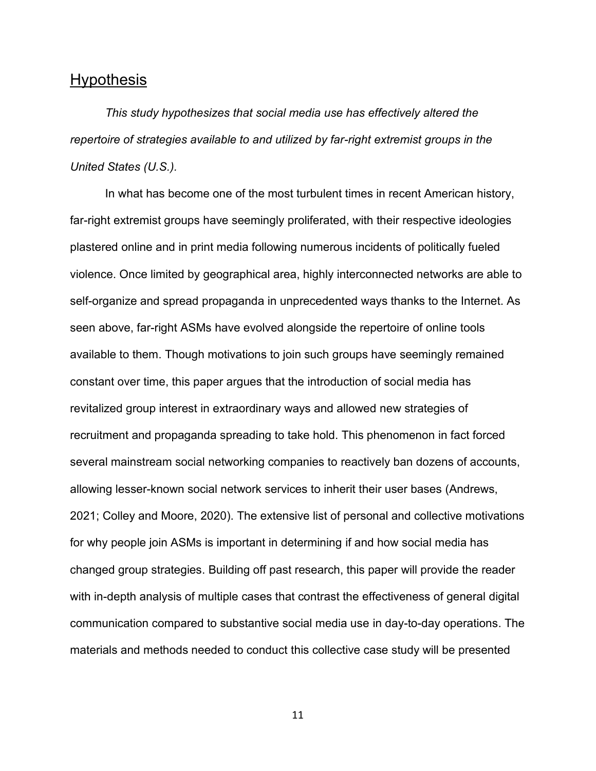# <span id="page-13-0"></span>**Hypothesis**

*This study hypothesizes that social media use has effectively altered the repertoire of strategies available to and utilized by far-right extremist groups in the United States (U.S.).* 

In what has become one of the most turbulent times in recent American history, far-right extremist groups have seemingly proliferated, with their respective ideologies plastered online and in print media following numerous incidents of politically fueled violence. Once limited by geographical area, highly interconnected networks are able to self-organize and spread propaganda in unprecedented ways thanks to the Internet. As seen above, far-right ASMs have evolved alongside the repertoire of online tools available to them. Though motivations to join such groups have seemingly remained constant over time, this paper argues that the introduction of social media has revitalized group interest in extraordinary ways and allowed new strategies of recruitment and propaganda spreading to take hold. This phenomenon in fact forced several mainstream social networking companies to reactively ban dozens of accounts, allowing lesser-known social network services to inherit their user bases (Andrews, 2021; Colley and Moore, 2020). The extensive list of personal and collective motivations for why people join ASMs is important in determining if and how social media has changed group strategies. Building off past research, this paper will provide the reader with in-depth analysis of multiple cases that contrast the effectiveness of general digital communication compared to substantive social media use in day-to-day operations. The materials and methods needed to conduct this collective case study will be presented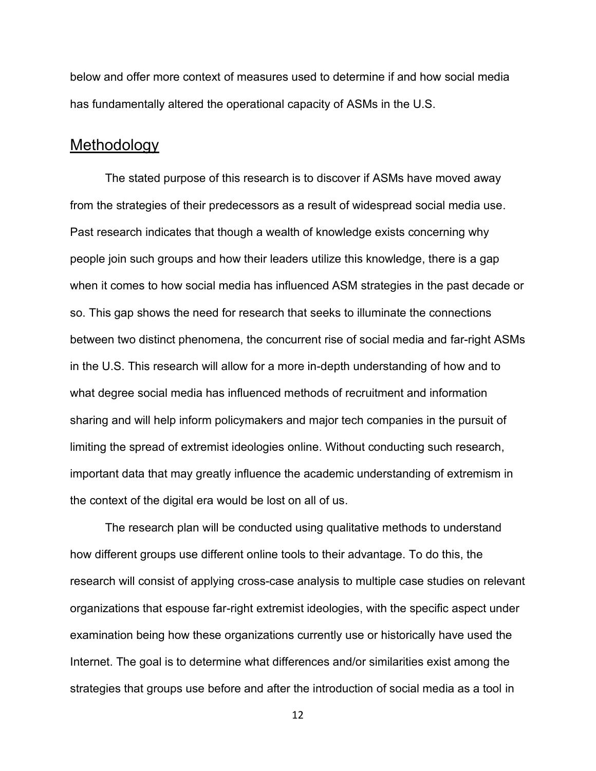below and offer more context of measures used to determine if and how social media has fundamentally altered the operational capacity of ASMs in the U.S.

# <span id="page-14-0"></span>Methodology

The stated purpose of this research is to discover if ASMs have moved away from the strategies of their predecessors as a result of widespread social media use. Past research indicates that though a wealth of knowledge exists concerning why people join such groups and how their leaders utilize this knowledge, there is a gap when it comes to how social media has influenced ASM strategies in the past decade or so. This gap shows the need for research that seeks to illuminate the connections between two distinct phenomena, the concurrent rise of social media and far-right ASMs in the U.S. This research will allow for a more in-depth understanding of how and to what degree social media has influenced methods of recruitment and information sharing and will help inform policymakers and major tech companies in the pursuit of limiting the spread of extremist ideologies online. Without conducting such research, important data that may greatly influence the academic understanding of extremism in the context of the digital era would be lost on all of us.

The research plan will be conducted using qualitative methods to understand how different groups use different online tools to their advantage. To do this, the research will consist of applying cross-case analysis to multiple case studies on relevant organizations that espouse far-right extremist ideologies, with the specific aspect under examination being how these organizations currently use or historically have used the Internet. The goal is to determine what differences and/or similarities exist among the strategies that groups use before and after the introduction of social media as a tool in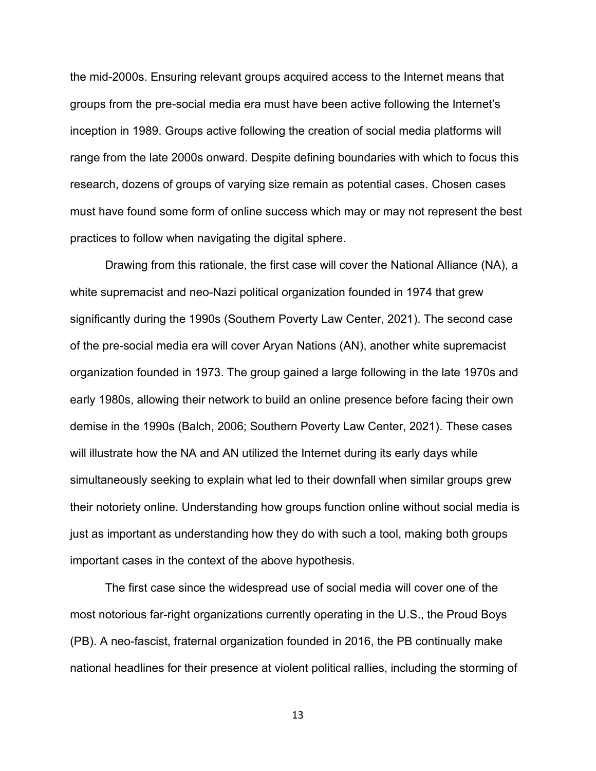the mid-2000s. Ensuring relevant groups acquired access to the Internet means that groups from the pre-social media era must have been active following the Internet's inception in 1989. Groups active following the creation of social media platforms will range from the late 2000s onward. Despite defining boundaries with which to focus this research, dozens of groups of varying size remain as potential cases. Chosen cases must have found some form of online success which may or may not represent the best practices to follow when navigating the digital sphere.

Drawing from this rationale, the first case will cover the National Alliance (NA), a white supremacist and neo-Nazi political organization founded in 1974 that grew significantly during the 1990s (Southern Poverty Law Center, 2021). The second case of the pre-social media era will cover Aryan Nations (AN), another white supremacist organization founded in 1973. The group gained a large following in the late 1970s and early 1980s, allowing their network to build an online presence before facing their own demise in the 1990s (Balch, 2006; Southern Poverty Law Center, 2021). These cases will illustrate how the NA and AN utilized the Internet during its early days while simultaneously seeking to explain what led to their downfall when similar groups grew their notoriety online. Understanding how groups function online without social media is just as important as understanding how they do with such a tool, making both groups important cases in the context of the above hypothesis.

The first case since the widespread use of social media will cover one of the most notorious far-right organizations currently operating in the U.S., the Proud Boys (PB). A neo-fascist, fraternal organization founded in 2016, the PB continually make national headlines for their presence at violent political rallies, including the storming of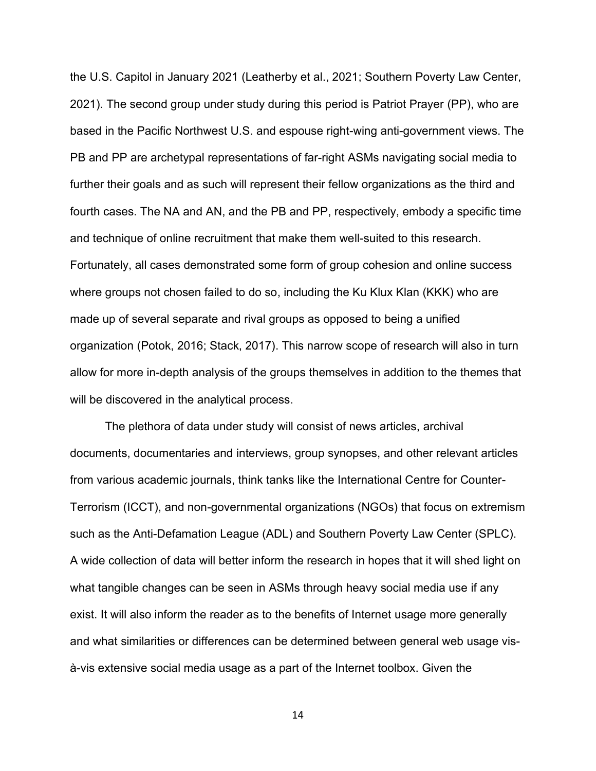the U.S. Capitol in January 2021 (Leatherby et al., 2021; Southern Poverty Law Center, 2021). The second group under study during this period is Patriot Prayer (PP), who are based in the Pacific Northwest U.S. and espouse right-wing anti-government views. The PB and PP are archetypal representations of far-right ASMs navigating social media to further their goals and as such will represent their fellow organizations as the third and fourth cases. The NA and AN, and the PB and PP, respectively, embody a specific time and technique of online recruitment that make them well-suited to this research. Fortunately, all cases demonstrated some form of group cohesion and online success where groups not chosen failed to do so, including the Ku Klux Klan (KKK) who are made up of several separate and rival groups as opposed to being a unified organization (Potok, 2016; Stack, 2017). This narrow scope of research will also in turn allow for more in-depth analysis of the groups themselves in addition to the themes that will be discovered in the analytical process.

The plethora of data under study will consist of news articles, archival documents, documentaries and interviews, group synopses, and other relevant articles from various academic journals, think tanks like the International Centre for Counter-Terrorism (ICCT), and non-governmental organizations (NGOs) that focus on extremism such as the Anti-Defamation League (ADL) and Southern Poverty Law Center (SPLC). A wide collection of data will better inform the research in hopes that it will shed light on what tangible changes can be seen in ASMs through heavy social media use if any exist. It will also inform the reader as to the benefits of Internet usage more generally and what similarities or differences can be determined between general web usage visà-vis extensive social media usage as a part of the Internet toolbox. Given the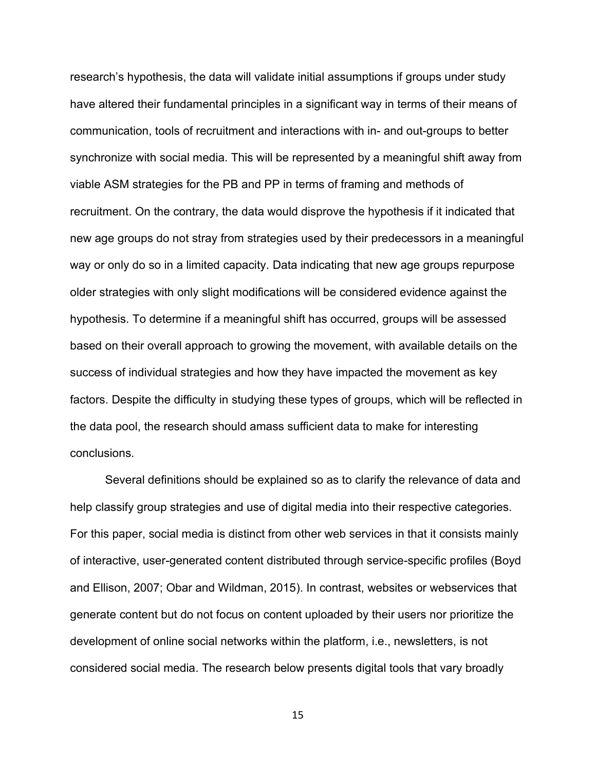research's hypothesis, the data will validate initial assumptions if groups under study have altered their fundamental principles in a significant way in terms of their means of communication, tools of recruitment and interactions with in- and out-groups to better synchronize with social media. This will be represented by a meaningful shift away from viable ASM strategies for the PB and PP in terms of framing and methods of recruitment. On the contrary, the data would disprove the hypothesis if it indicated that new age groups do not stray from strategies used by their predecessors in a meaningful way or only do so in a limited capacity. Data indicating that new age groups repurpose older strategies with only slight modifications will be considered evidence against the hypothesis. To determine if a meaningful shift has occurred, groups will be assessed based on their overall approach to growing the movement, with available details on the success of individual strategies and how they have impacted the movement as key factors. Despite the difficulty in studying these types of groups, which will be reflected in the data pool, the research should amass sufficient data to make for interesting conclusions.

Several definitions should be explained so as to clarify the relevance of data and help classify group strategies and use of digital media into their respective categories. For this paper, social media is distinct from other web services in that it consists mainly of interactive, user-generated content distributed through service-specific profiles (Boyd and Ellison, 2007; Obar and Wildman, 2015). In contrast, websites or webservices that generate content but do not focus on content uploaded by their users nor prioritize the development of online social networks within the platform, i.e., newsletters, is not considered social media. The research below presents digital tools that vary broadly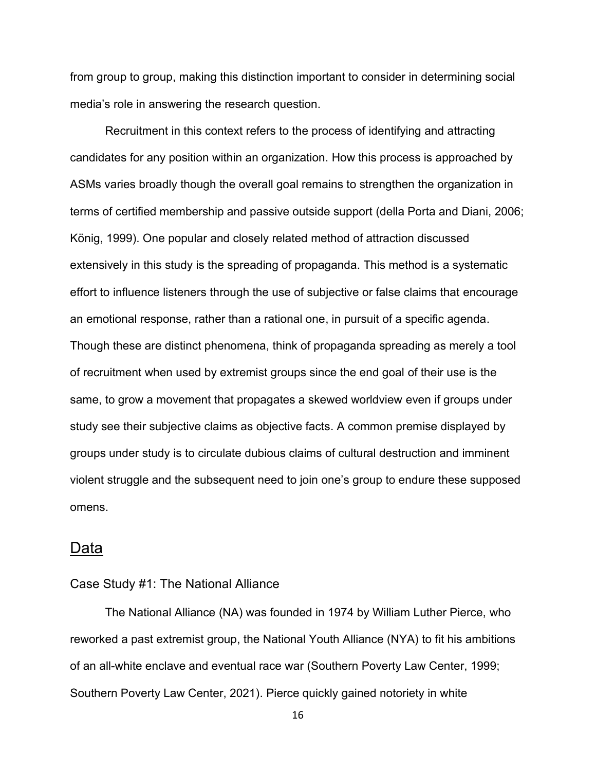from group to group, making this distinction important to consider in determining social media's role in answering the research question.

Recruitment in this context refers to the process of identifying and attracting candidates for any position within an organization. How this process is approached by ASMs varies broadly though the overall goal remains to strengthen the organization in terms of certified membership and passive outside support (della Porta and Diani, 2006; König, 1999). One popular and closely related method of attraction discussed extensively in this study is the spreading of propaganda. This method is a systematic effort to influence listeners through the use of subjective or false claims that encourage an emotional response, rather than a rational one, in pursuit of a specific agenda. Though these are distinct phenomena, think of propaganda spreading as merely a tool of recruitment when used by extremist groups since the end goal of their use is the same, to grow a movement that propagates a skewed worldview even if groups under study see their subjective claims as objective facts. A common premise displayed by groups under study is to circulate dubious claims of cultural destruction and imminent violent struggle and the subsequent need to join one's group to endure these supposed omens.

#### <span id="page-18-0"></span>Data

#### <span id="page-18-1"></span>Case Study #1: The National Alliance

The National Alliance (NA) was founded in 1974 by William Luther Pierce, who reworked a past extremist group, the National Youth Alliance (NYA) to fit his ambitions of an all-white enclave and eventual race war (Southern Poverty Law Center, 1999; Southern Poverty Law Center, 2021). Pierce quickly gained notoriety in white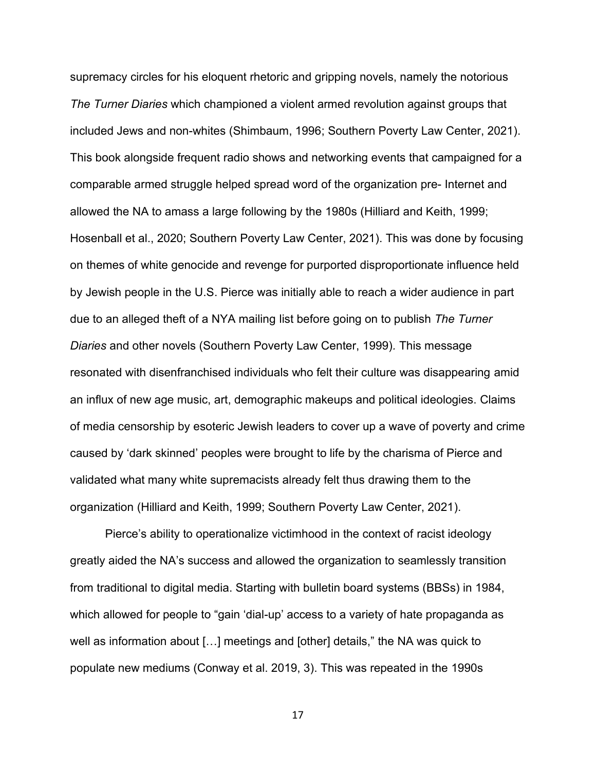supremacy circles for his eloquent rhetoric and gripping novels, namely the notorious *The Turner Diaries* which championed a violent armed revolution against groups that included Jews and non-whites (Shimbaum, 1996; Southern Poverty Law Center, 2021). This book alongside frequent radio shows and networking events that campaigned for a comparable armed struggle helped spread word of the organization pre- Internet and allowed the NA to amass a large following by the 1980s (Hilliard and Keith, 1999; Hosenball et al., 2020; Southern Poverty Law Center, 2021). This was done by focusing on themes of white genocide and revenge for purported disproportionate influence held by Jewish people in the U.S. Pierce was initially able to reach a wider audience in part due to an alleged theft of a NYA mailing list before going on to publish *The Turner Diaries* and other novels (Southern Poverty Law Center, 1999)*.* This message resonated with disenfranchised individuals who felt their culture was disappearing amid an influx of new age music, art, demographic makeups and political ideologies. Claims of media censorship by esoteric Jewish leaders to cover up a wave of poverty and crime caused by 'dark skinned' peoples were brought to life by the charisma of Pierce and validated what many white supremacists already felt thus drawing them to the organization (Hilliard and Keith, 1999; Southern Poverty Law Center, 2021).

Pierce's ability to operationalize victimhood in the context of racist ideology greatly aided the NA's success and allowed the organization to seamlessly transition from traditional to digital media. Starting with bulletin board systems (BBSs) in 1984, which allowed for people to "gain 'dial-up' access to a variety of hate propaganda as well as information about […] meetings and [other] details," the NA was quick to populate new mediums (Conway et al. 2019, 3). This was repeated in the 1990s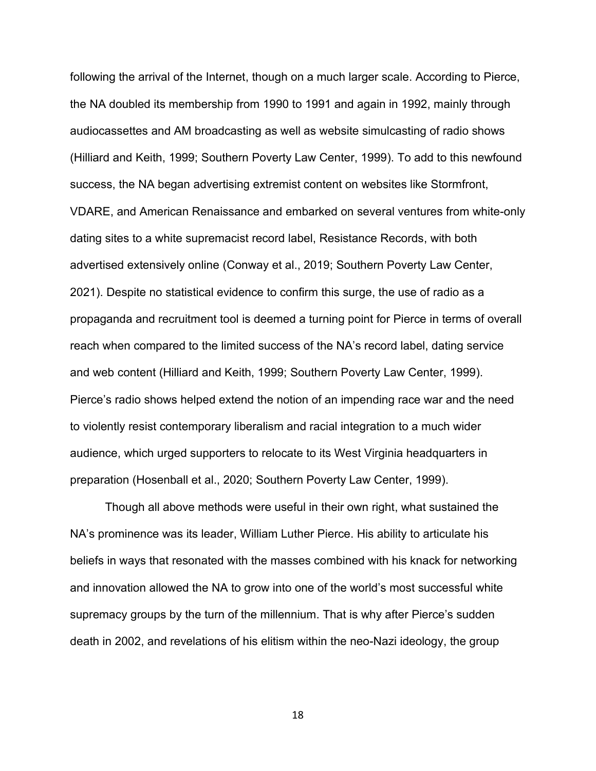following the arrival of the Internet, though on a much larger scale. According to Pierce, the NA doubled its membership from 1990 to 1991 and again in 1992, mainly through audiocassettes and AM broadcasting as well as website simulcasting of radio shows (Hilliard and Keith, 1999; Southern Poverty Law Center, 1999). To add to this newfound success, the NA began advertising extremist content on websites like Stormfront, VDARE, and American Renaissance and embarked on several ventures from white-only dating sites to a white supremacist record label, Resistance Records, with both advertised extensively online (Conway et al., 2019; Southern Poverty Law Center, 2021). Despite no statistical evidence to confirm this surge, the use of radio as a propaganda and recruitment tool is deemed a turning point for Pierce in terms of overall reach when compared to the limited success of the NA's record label, dating service and web content (Hilliard and Keith, 1999; Southern Poverty Law Center, 1999). Pierce's radio shows helped extend the notion of an impending race war and the need to violently resist contemporary liberalism and racial integration to a much wider audience, which urged supporters to relocate to its West Virginia headquarters in preparation (Hosenball et al., 2020; Southern Poverty Law Center, 1999).

Though all above methods were useful in their own right, what sustained the NA's prominence was its leader, William Luther Pierce. His ability to articulate his beliefs in ways that resonated with the masses combined with his knack for networking and innovation allowed the NA to grow into one of the world's most successful white supremacy groups by the turn of the millennium. That is why after Pierce's sudden death in 2002, and revelations of his elitism within the neo-Nazi ideology, the group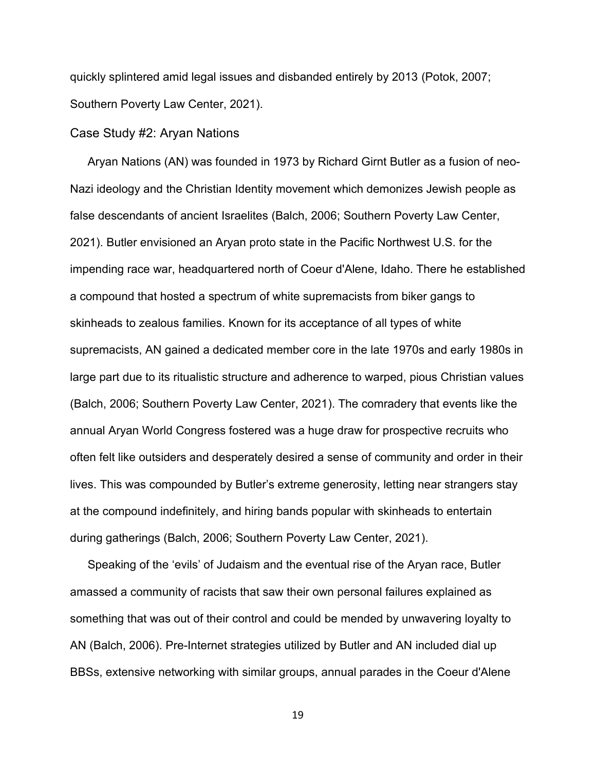quickly splintered amid legal issues and disbanded entirely by 2013 (Potok, 2007; Southern Poverty Law Center, 2021).

#### <span id="page-21-0"></span>Case Study #2: Aryan Nations

Aryan Nations (AN) was founded in 1973 by Richard Girnt Butler as a fusion of neo-Nazi ideology and the Christian Identity movement which demonizes Jewish people as false descendants of ancient Israelites (Balch, 2006; Southern Poverty Law Center, 2021). Butler envisioned an Aryan proto state in the Pacific Northwest U.S. for the impending race war, headquartered north of Coeur d'Alene, Idaho. There he established a compound that hosted a spectrum of white supremacists from biker gangs to skinheads to zealous families. Known for its acceptance of all types of white supremacists, AN gained a dedicated member core in the late 1970s and early 1980s in large part due to its ritualistic structure and adherence to warped, pious Christian values (Balch, 2006; Southern Poverty Law Center, 2021). The comradery that events like the annual Aryan World Congress fostered was a huge draw for prospective recruits who often felt like outsiders and desperately desired a sense of community and order in their lives. This was compounded by Butler's extreme generosity, letting near strangers stay at the compound indefinitely, and hiring bands popular with skinheads to entertain during gatherings (Balch, 2006; Southern Poverty Law Center, 2021).

Speaking of the 'evils' of Judaism and the eventual rise of the Aryan race, Butler amassed a community of racists that saw their own personal failures explained as something that was out of their control and could be mended by unwavering loyalty to AN (Balch, 2006). Pre-Internet strategies utilized by Butler and AN included dial up BBSs, extensive networking with similar groups, annual parades in the Coeur d'Alene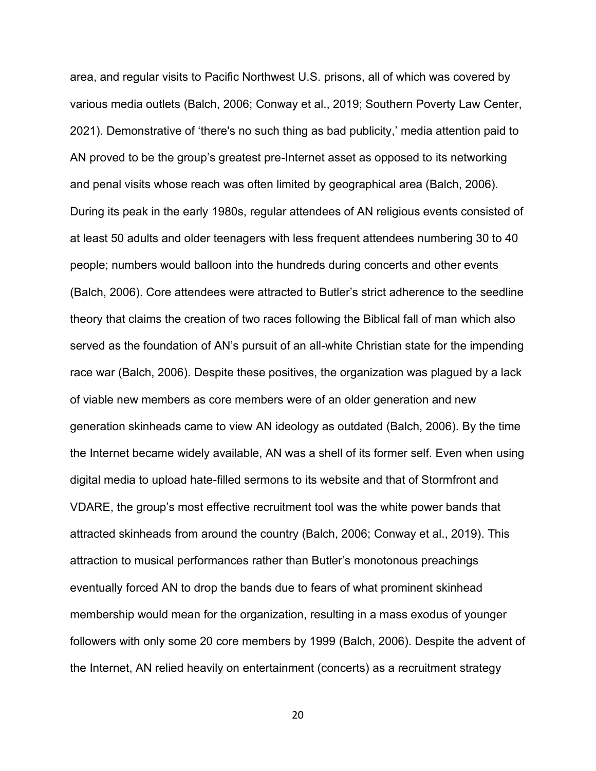area, and regular visits to Pacific Northwest U.S. prisons, all of which was covered by various media outlets (Balch, 2006; Conway et al., 2019; Southern Poverty Law Center, 2021). Demonstrative of 'there's no such thing as bad publicity,' media attention paid to AN proved to be the group's greatest pre-Internet asset as opposed to its networking and penal visits whose reach was often limited by geographical area (Balch, 2006). During its peak in the early 1980s, regular attendees of AN religious events consisted of at least 50 adults and older teenagers with less frequent attendees numbering 30 to 40 people; numbers would balloon into the hundreds during concerts and other events (Balch, 2006). Core attendees were attracted to Butler's strict adherence to the seedline theory that claims the creation of two races following the Biblical fall of man which also served as the foundation of AN's pursuit of an all-white Christian state for the impending race war (Balch, 2006). Despite these positives, the organization was plagued by a lack of viable new members as core members were of an older generation and new generation skinheads came to view AN ideology as outdated (Balch, 2006). By the time the Internet became widely available, AN was a shell of its former self. Even when using digital media to upload hate-filled sermons to its website and that of Stormfront and VDARE, the group's most effective recruitment tool was the white power bands that attracted skinheads from around the country (Balch, 2006; Conway et al., 2019). This attraction to musical performances rather than Butler's monotonous preachings eventually forced AN to drop the bands due to fears of what prominent skinhead membership would mean for the organization, resulting in a mass exodus of younger followers with only some 20 core members by 1999 (Balch, 2006). Despite the advent of the Internet, AN relied heavily on entertainment (concerts) as a recruitment strategy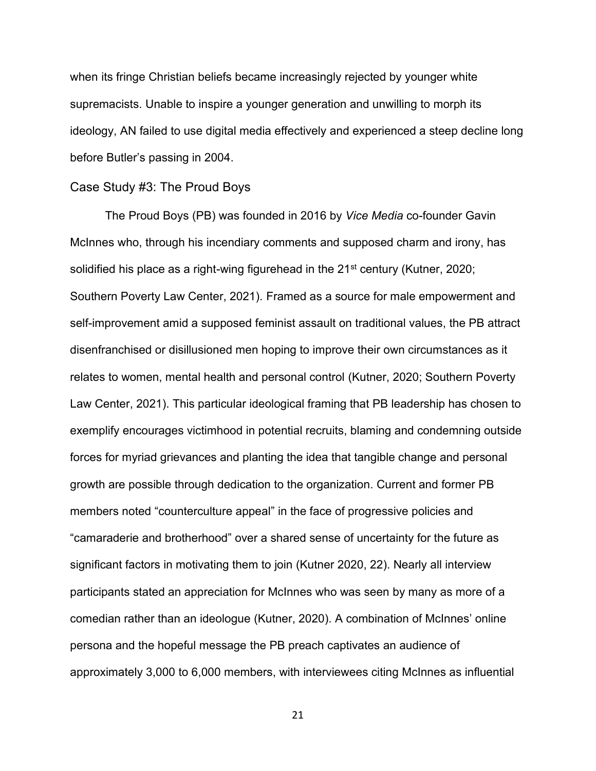when its fringe Christian beliefs became increasingly rejected by younger white supremacists. Unable to inspire a younger generation and unwilling to morph its ideology, AN failed to use digital media effectively and experienced a steep decline long before Butler's passing in 2004.

#### <span id="page-23-0"></span>Case Study #3: The Proud Boys

The Proud Boys (PB) was founded in 2016 by *Vice Media* co-founder Gavin McInnes who, through his incendiary comments and supposed charm and irony, has solidified his place as a right-wing figurehead in the 21<sup>st</sup> century (Kutner, 2020; Southern Poverty Law Center, 2021). Framed as a source for male empowerment and self-improvement amid a supposed feminist assault on traditional values, the PB attract disenfranchised or disillusioned men hoping to improve their own circumstances as it relates to women, mental health and personal control (Kutner, 2020; Southern Poverty Law Center, 2021). This particular ideological framing that PB leadership has chosen to exemplify encourages victimhood in potential recruits, blaming and condemning outside forces for myriad grievances and planting the idea that tangible change and personal growth are possible through dedication to the organization. Current and former PB members noted "counterculture appeal" in the face of progressive policies and "camaraderie and brotherhood" over a shared sense of uncertainty for the future as significant factors in motivating them to join (Kutner 2020, 22). Nearly all interview participants stated an appreciation for McInnes who was seen by many as more of a comedian rather than an ideologue (Kutner, 2020). A combination of McInnes' online persona and the hopeful message the PB preach captivates an audience of approximately 3,000 to 6,000 members, with interviewees citing McInnes as influential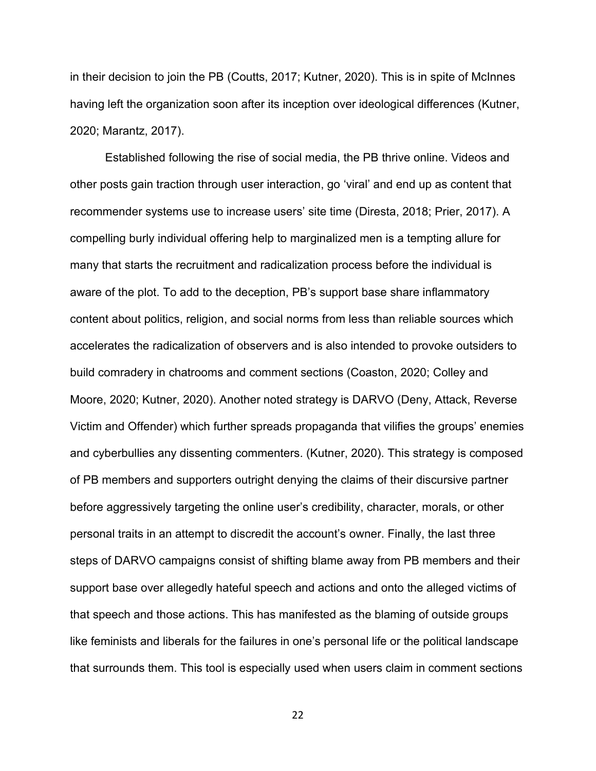in their decision to join the PB (Coutts, 2017; Kutner, 2020). This is in spite of McInnes having left the organization soon after its inception over ideological differences (Kutner, 2020; Marantz, 2017).

Established following the rise of social media, the PB thrive online. Videos and other posts gain traction through user interaction, go 'viral' and end up as content that recommender systems use to increase users' site time (Diresta, 2018; Prier, 2017). A compelling burly individual offering help to marginalized men is a tempting allure for many that starts the recruitment and radicalization process before the individual is aware of the plot. To add to the deception, PB's support base share inflammatory content about politics, religion, and social norms from less than reliable sources which accelerates the radicalization of observers and is also intended to provoke outsiders to build comradery in chatrooms and comment sections (Coaston, 2020; Colley and Moore, 2020; Kutner, 2020). Another noted strategy is DARVO (Deny, Attack, Reverse Victim and Offender) which further spreads propaganda that vilifies the groups' enemies and cyberbullies any dissenting commenters. (Kutner, 2020). This strategy is composed of PB members and supporters outright denying the claims of their discursive partner before aggressively targeting the online user's credibility, character, morals, or other personal traits in an attempt to discredit the account's owner. Finally, the last three steps of DARVO campaigns consist of shifting blame away from PB members and their support base over allegedly hateful speech and actions and onto the alleged victims of that speech and those actions. This has manifested as the blaming of outside groups like feminists and liberals for the failures in one's personal life or the political landscape that surrounds them. This tool is especially used when users claim in comment sections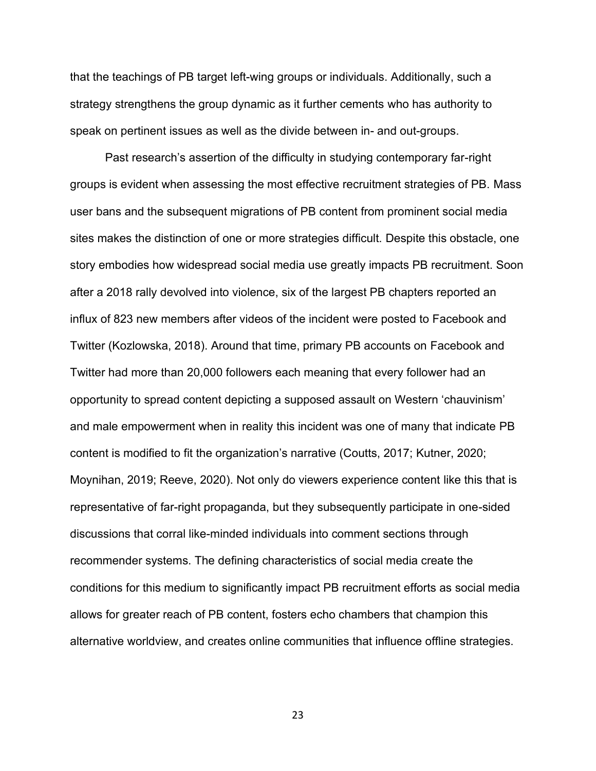that the teachings of PB target left-wing groups or individuals. Additionally, such a strategy strengthens the group dynamic as it further cements who has authority to speak on pertinent issues as well as the divide between in- and out-groups.

Past research's assertion of the difficulty in studying contemporary far-right groups is evident when assessing the most effective recruitment strategies of PB. Mass user bans and the subsequent migrations of PB content from prominent social media sites makes the distinction of one or more strategies difficult. Despite this obstacle, one story embodies how widespread social media use greatly impacts PB recruitment. Soon after a 2018 rally devolved into violence, six of the largest PB chapters reported an influx of 823 new members after videos of the incident were posted to Facebook and Twitter (Kozlowska, 2018). Around that time, primary PB accounts on Facebook and Twitter had more than 20,000 followers each meaning that every follower had an opportunity to spread content depicting a supposed assault on Western 'chauvinism' and male empowerment when in reality this incident was one of many that indicate PB content is modified to fit the organization's narrative (Coutts, 2017; Kutner, 2020; Moynihan, 2019; Reeve, 2020). Not only do viewers experience content like this that is representative of far-right propaganda, but they subsequently participate in one-sided discussions that corral like-minded individuals into comment sections through recommender systems. The defining characteristics of social media create the conditions for this medium to significantly impact PB recruitment efforts as social media allows for greater reach of PB content, fosters echo chambers that champion this alternative worldview, and creates online communities that influence offline strategies.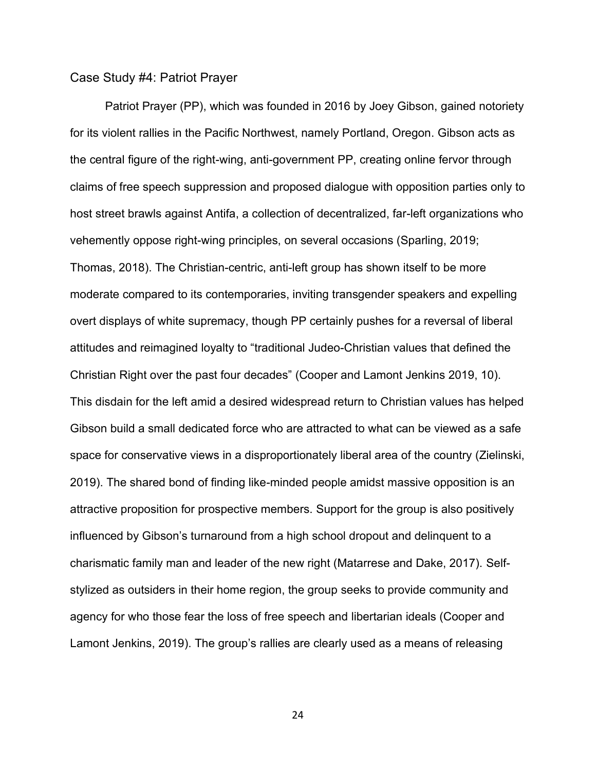#### <span id="page-26-0"></span>Case Study #4: Patriot Prayer

Patriot Prayer (PP), which was founded in 2016 by Joey Gibson, gained notoriety for its violent rallies in the Pacific Northwest, namely Portland, Oregon. Gibson acts as the central figure of the right-wing, anti-government PP, creating online fervor through claims of free speech suppression and proposed dialogue with opposition parties only to host street brawls against Antifa, a collection of decentralized, far-left organizations who vehemently oppose right-wing principles, on several occasions (Sparling, 2019; Thomas, 2018). The Christian-centric, anti-left group has shown itself to be more moderate compared to its contemporaries, inviting transgender speakers and expelling overt displays of white supremacy, though PP certainly pushes for a reversal of liberal attitudes and reimagined loyalty to "traditional Judeo-Christian values that defined the Christian Right over the past four decades" (Cooper and Lamont Jenkins 2019, 10). This disdain for the left amid a desired widespread return to Christian values has helped Gibson build a small dedicated force who are attracted to what can be viewed as a safe space for conservative views in a disproportionately liberal area of the country (Zielinski, 2019). The shared bond of finding like-minded people amidst massive opposition is an attractive proposition for prospective members. Support for the group is also positively influenced by Gibson's turnaround from a high school dropout and delinquent to a charismatic family man and leader of the new right (Matarrese and Dake, 2017). Selfstylized as outsiders in their home region, the group seeks to provide community and agency for who those fear the loss of free speech and libertarian ideals (Cooper and Lamont Jenkins, 2019). The group's rallies are clearly used as a means of releasing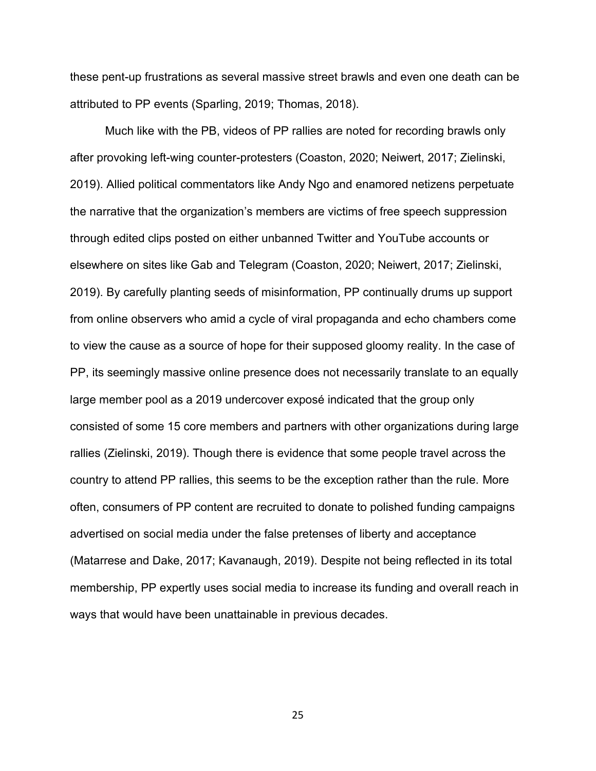these pent-up frustrations as several massive street brawls and even one death can be attributed to PP events (Sparling, 2019; Thomas, 2018).

Much like with the PB, videos of PP rallies are noted for recording brawls only after provoking left-wing counter-protesters (Coaston, 2020; Neiwert, 2017; Zielinski, 2019). Allied political commentators like Andy Ngo and enamored netizens perpetuate the narrative that the organization's members are victims of free speech suppression through edited clips posted on either unbanned Twitter and YouTube accounts or elsewhere on sites like Gab and Telegram (Coaston, 2020; Neiwert, 2017; Zielinski, 2019). By carefully planting seeds of misinformation, PP continually drums up support from online observers who amid a cycle of viral propaganda and echo chambers come to view the cause as a source of hope for their supposed gloomy reality. In the case of PP, its seemingly massive online presence does not necessarily translate to an equally large member pool as a 2019 undercover exposé indicated that the group only consisted of some 15 core members and partners with other organizations during large rallies (Zielinski, 2019). Though there is evidence that some people travel across the country to attend PP rallies, this seems to be the exception rather than the rule. More often, consumers of PP content are recruited to donate to polished funding campaigns advertised on social media under the false pretenses of liberty and acceptance (Matarrese and Dake, 2017; Kavanaugh, 2019). Despite not being reflected in its total membership, PP expertly uses social media to increase its funding and overall reach in ways that would have been unattainable in previous decades.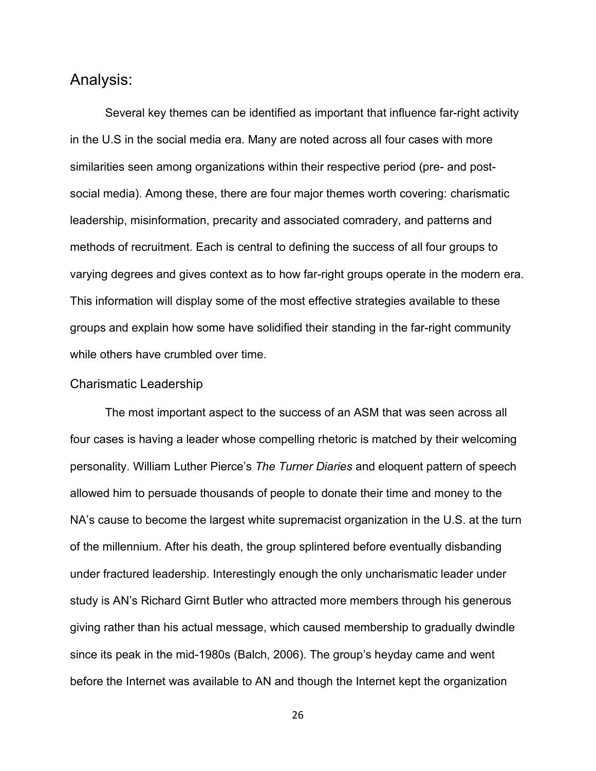# <span id="page-28-0"></span>Analysis:

Several key themes can be identified as important that influence far-right activity in the U.S in the social media era. Many are noted across all four cases with more similarities seen among organizations within their respective period (pre- and postsocial media). Among these, there are four major themes worth covering: charismatic leadership, misinformation, precarity and associated comradery, and patterns and methods of recruitment. Each is central to defining the success of all four groups to varying degrees and gives context as to how far-right groups operate in the modern era. This information will display some of the most effective strategies available to these groups and explain how some have solidified their standing in the far-right community while others have crumbled over time.

#### <span id="page-28-1"></span>Charismatic Leadership

The most important aspect to the success of an ASM that was seen across all four cases is having a leader whose compelling rhetoric is matched by their welcoming personality. William Luther Pierce's *The Turner Diaries* and eloquent pattern of speech allowed him to persuade thousands of people to donate their time and money to the NA's cause to become the largest white supremacist organization in the U.S. at the turn of the millennium. After his death, the group splintered before eventually disbanding under fractured leadership. Interestingly enough the only uncharismatic leader under study is AN's Richard Girnt Butler who attracted more members through his generous giving rather than his actual message, which caused membership to gradually dwindle since its peak in the mid-1980s (Balch, 2006). The group's heyday came and went before the Internet was available to AN and though the Internet kept the organization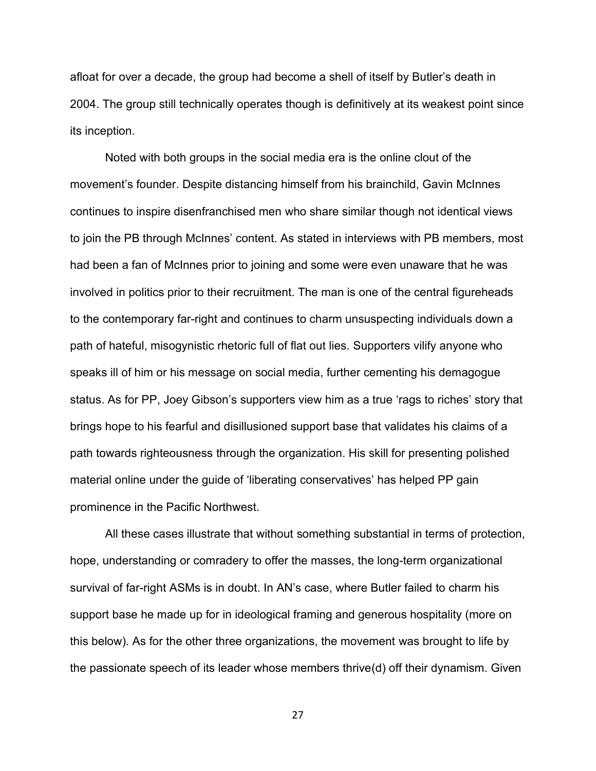afloat for over a decade, the group had become a shell of itself by Butler's death in 2004. The group still technically operates though is definitively at its weakest point since its inception.

Noted with both groups in the social media era is the online clout of the movement's founder. Despite distancing himself from his brainchild, Gavin McInnes continues to inspire disenfranchised men who share similar though not identical views to join the PB through McInnes' content. As stated in interviews with PB members, most had been a fan of McInnes prior to joining and some were even unaware that he was involved in politics prior to their recruitment. The man is one of the central figureheads to the contemporary far-right and continues to charm unsuspecting individuals down a path of hateful, misogynistic rhetoric full of flat out lies. Supporters vilify anyone who speaks ill of him or his message on social media, further cementing his demagogue status. As for PP, Joey Gibson's supporters view him as a true 'rags to riches' story that brings hope to his fearful and disillusioned support base that validates his claims of a path towards righteousness through the organization. His skill for presenting polished material online under the guide of 'liberating conservatives' has helped PP gain prominence in the Pacific Northwest.

All these cases illustrate that without something substantial in terms of protection, hope, understanding or comradery to offer the masses, the long-term organizational survival of far-right ASMs is in doubt. In AN's case, where Butler failed to charm his support base he made up for in ideological framing and generous hospitality (more on this below). As for the other three organizations, the movement was brought to life by the passionate speech of its leader whose members thrive(d) off their dynamism. Given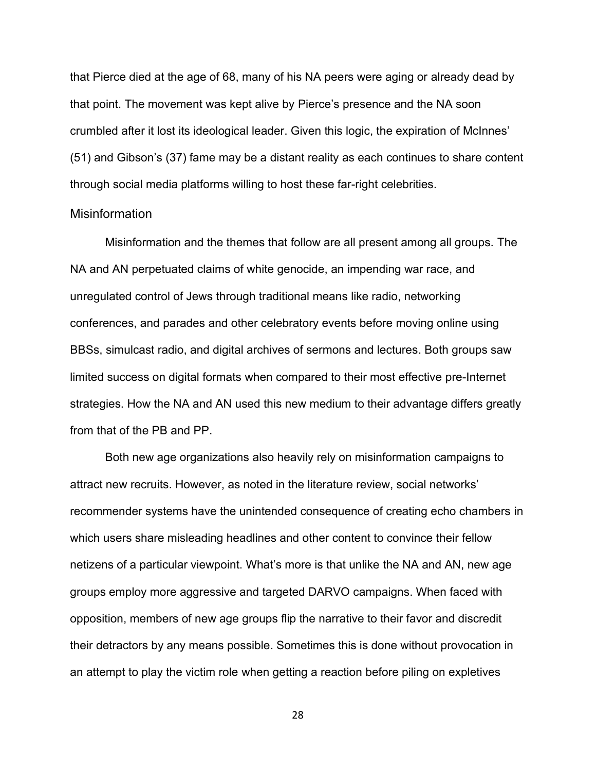that Pierce died at the age of 68, many of his NA peers were aging or already dead by that point. The movement was kept alive by Pierce's presence and the NA soon crumbled after it lost its ideological leader. Given this logic, the expiration of McInnes' (51) and Gibson's (37) fame may be a distant reality as each continues to share content through social media platforms willing to host these far-right celebrities.

#### <span id="page-30-0"></span>**Misinformation**

Misinformation and the themes that follow are all present among all groups. The NA and AN perpetuated claims of white genocide, an impending war race, and unregulated control of Jews through traditional means like radio, networking conferences, and parades and other celebratory events before moving online using BBSs, simulcast radio, and digital archives of sermons and lectures. Both groups saw limited success on digital formats when compared to their most effective pre-Internet strategies. How the NA and AN used this new medium to their advantage differs greatly from that of the PB and PP.

Both new age organizations also heavily rely on misinformation campaigns to attract new recruits. However, as noted in the literature review, social networks' recommender systems have the unintended consequence of creating echo chambers in which users share misleading headlines and other content to convince their fellow netizens of a particular viewpoint. What's more is that unlike the NA and AN, new age groups employ more aggressive and targeted DARVO campaigns. When faced with opposition, members of new age groups flip the narrative to their favor and discredit their detractors by any means possible. Sometimes this is done without provocation in an attempt to play the victim role when getting a reaction before piling on expletives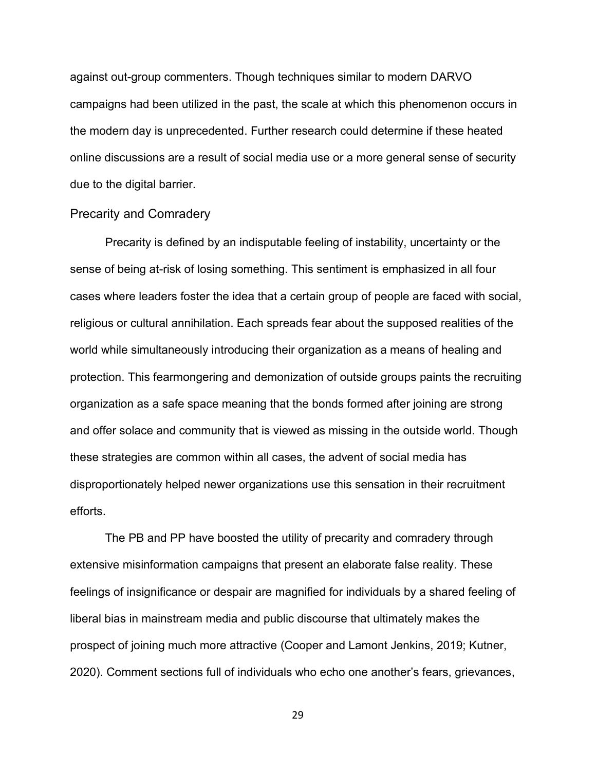against out-group commenters. Though techniques similar to modern DARVO campaigns had been utilized in the past, the scale at which this phenomenon occurs in the modern day is unprecedented. Further research could determine if these heated online discussions are a result of social media use or a more general sense of security due to the digital barrier.

#### <span id="page-31-0"></span>Precarity and Comradery

Precarity is defined by an indisputable feeling of instability, uncertainty or the sense of being at-risk of losing something. This sentiment is emphasized in all four cases where leaders foster the idea that a certain group of people are faced with social, religious or cultural annihilation. Each spreads fear about the supposed realities of the world while simultaneously introducing their organization as a means of healing and protection. This fearmongering and demonization of outside groups paints the recruiting organization as a safe space meaning that the bonds formed after joining are strong and offer solace and community that is viewed as missing in the outside world. Though these strategies are common within all cases, the advent of social media has disproportionately helped newer organizations use this sensation in their recruitment efforts.

The PB and PP have boosted the utility of precarity and comradery through extensive misinformation campaigns that present an elaborate false reality. These feelings of insignificance or despair are magnified for individuals by a shared feeling of liberal bias in mainstream media and public discourse that ultimately makes the prospect of joining much more attractive (Cooper and Lamont Jenkins, 2019; Kutner, 2020). Comment sections full of individuals who echo one another's fears, grievances,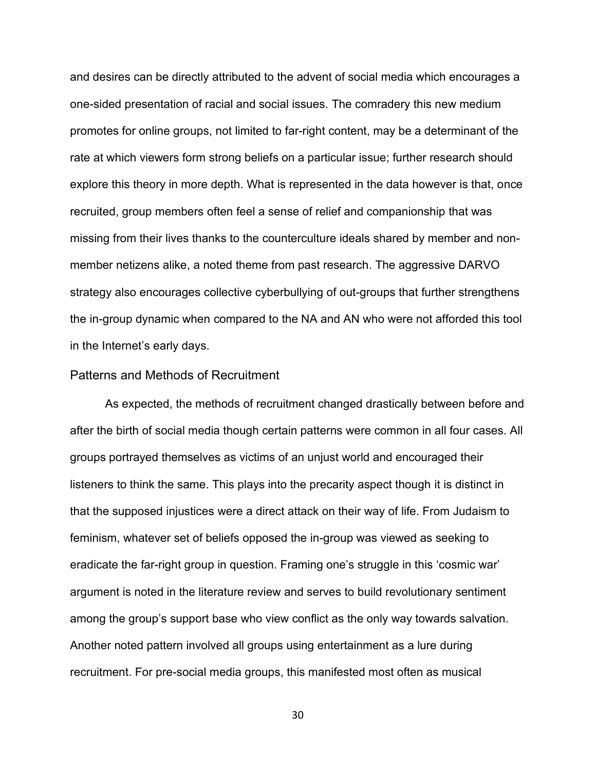and desires can be directly attributed to the advent of social media which encourages a one-sided presentation of racial and social issues. The comradery this new medium promotes for online groups, not limited to far-right content, may be a determinant of the rate at which viewers form strong beliefs on a particular issue; further research should explore this theory in more depth. What is represented in the data however is that, once recruited, group members often feel a sense of relief and companionship that was missing from their lives thanks to the counterculture ideals shared by member and nonmember netizens alike, a noted theme from past research. The aggressive DARVO strategy also encourages collective cyberbullying of out-groups that further strengthens the in-group dynamic when compared to the NA and AN who were not afforded this tool in the Internet's early days.

#### <span id="page-32-0"></span>Patterns and Methods of Recruitment

As expected, the methods of recruitment changed drastically between before and after the birth of social media though certain patterns were common in all four cases. All groups portrayed themselves as victims of an unjust world and encouraged their listeners to think the same. This plays into the precarity aspect though it is distinct in that the supposed injustices were a direct attack on their way of life. From Judaism to feminism, whatever set of beliefs opposed the in-group was viewed as seeking to eradicate the far-right group in question. Framing one's struggle in this 'cosmic war' argument is noted in the literature review and serves to build revolutionary sentiment among the group's support base who view conflict as the only way towards salvation. Another noted pattern involved all groups using entertainment as a lure during recruitment. For pre-social media groups, this manifested most often as musical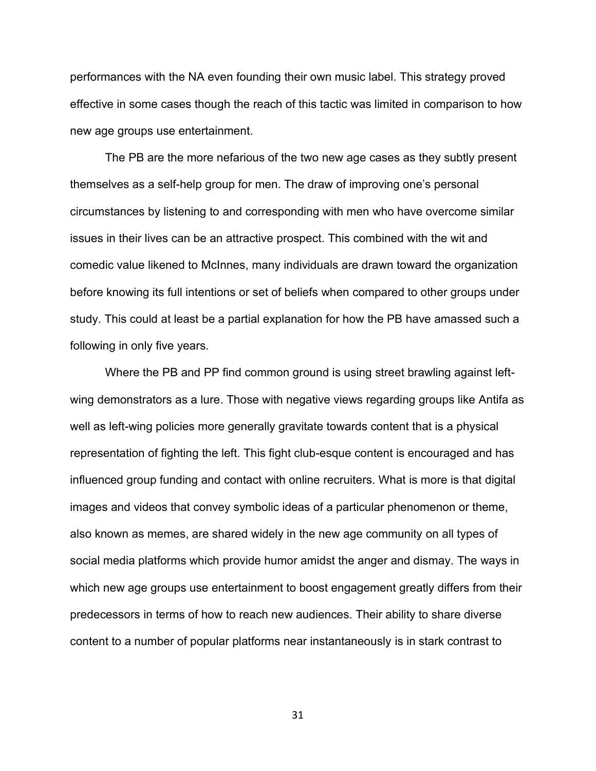performances with the NA even founding their own music label. This strategy proved effective in some cases though the reach of this tactic was limited in comparison to how new age groups use entertainment.

The PB are the more nefarious of the two new age cases as they subtly present themselves as a self-help group for men. The draw of improving one's personal circumstances by listening to and corresponding with men who have overcome similar issues in their lives can be an attractive prospect. This combined with the wit and comedic value likened to McInnes, many individuals are drawn toward the organization before knowing its full intentions or set of beliefs when compared to other groups under study. This could at least be a partial explanation for how the PB have amassed such a following in only five years.

Where the PB and PP find common ground is using street brawling against leftwing demonstrators as a lure. Those with negative views regarding groups like Antifa as well as left-wing policies more generally gravitate towards content that is a physical representation of fighting the left. This fight club-esque content is encouraged and has influenced group funding and contact with online recruiters. What is more is that digital images and videos that convey symbolic ideas of a particular phenomenon or theme, also known as memes, are shared widely in the new age community on all types of social media platforms which provide humor amidst the anger and dismay. The ways in which new age groups use entertainment to boost engagement greatly differs from their predecessors in terms of how to reach new audiences. Their ability to share diverse content to a number of popular platforms near instantaneously is in stark contrast to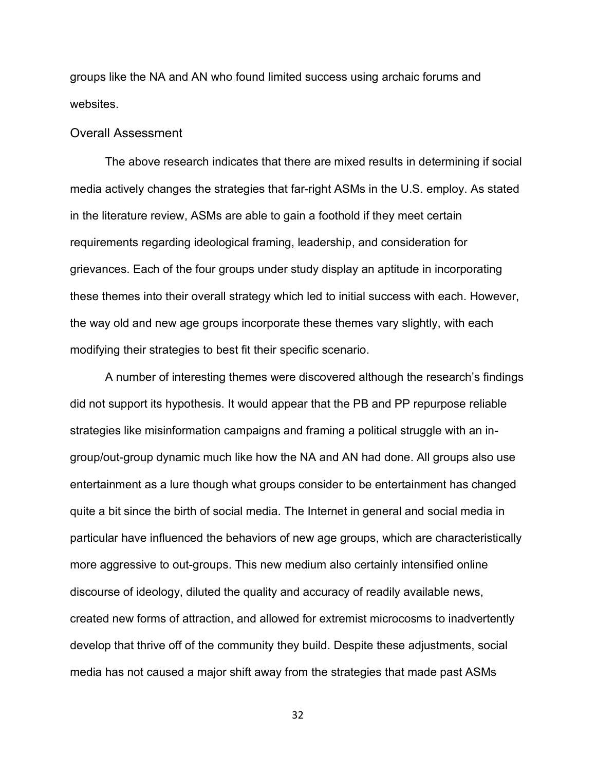groups like the NA and AN who found limited success using archaic forums and websites.

#### <span id="page-34-0"></span>Overall Assessment

The above research indicates that there are mixed results in determining if social media actively changes the strategies that far-right ASMs in the U.S. employ. As stated in the literature review, ASMs are able to gain a foothold if they meet certain requirements regarding ideological framing, leadership, and consideration for grievances. Each of the four groups under study display an aptitude in incorporating these themes into their overall strategy which led to initial success with each. However, the way old and new age groups incorporate these themes vary slightly, with each modifying their strategies to best fit their specific scenario.

A number of interesting themes were discovered although the research's findings did not support its hypothesis. It would appear that the PB and PP repurpose reliable strategies like misinformation campaigns and framing a political struggle with an ingroup/out-group dynamic much like how the NA and AN had done. All groups also use entertainment as a lure though what groups consider to be entertainment has changed quite a bit since the birth of social media. The Internet in general and social media in particular have influenced the behaviors of new age groups, which are characteristically more aggressive to out-groups. This new medium also certainly intensified online discourse of ideology, diluted the quality and accuracy of readily available news, created new forms of attraction, and allowed for extremist microcosms to inadvertently develop that thrive off of the community they build. Despite these adjustments, social media has not caused a major shift away from the strategies that made past ASMs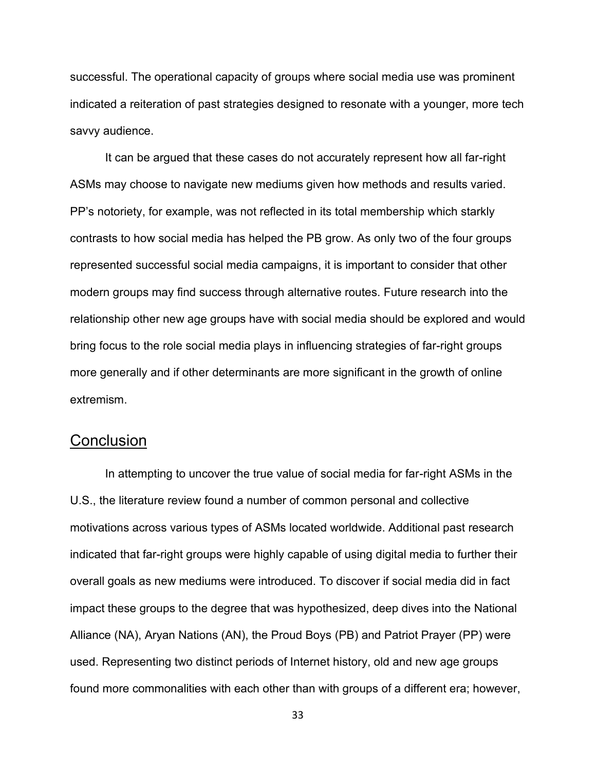successful. The operational capacity of groups where social media use was prominent indicated a reiteration of past strategies designed to resonate with a younger, more tech savvy audience.

It can be argued that these cases do not accurately represent how all far-right ASMs may choose to navigate new mediums given how methods and results varied. PP's notoriety, for example, was not reflected in its total membership which starkly contrasts to how social media has helped the PB grow. As only two of the four groups represented successful social media campaigns, it is important to consider that other modern groups may find success through alternative routes. Future research into the relationship other new age groups have with social media should be explored and would bring focus to the role social media plays in influencing strategies of far-right groups more generally and if other determinants are more significant in the growth of online extremism.

# <span id="page-35-0"></span>**Conclusion**

In attempting to uncover the true value of social media for far-right ASMs in the U.S., the literature review found a number of common personal and collective motivations across various types of ASMs located worldwide. Additional past research indicated that far-right groups were highly capable of using digital media to further their overall goals as new mediums were introduced. To discover if social media did in fact impact these groups to the degree that was hypothesized, deep dives into the National Alliance (NA), Aryan Nations (AN), the Proud Boys (PB) and Patriot Prayer (PP) were used. Representing two distinct periods of Internet history, old and new age groups found more commonalities with each other than with groups of a different era; however,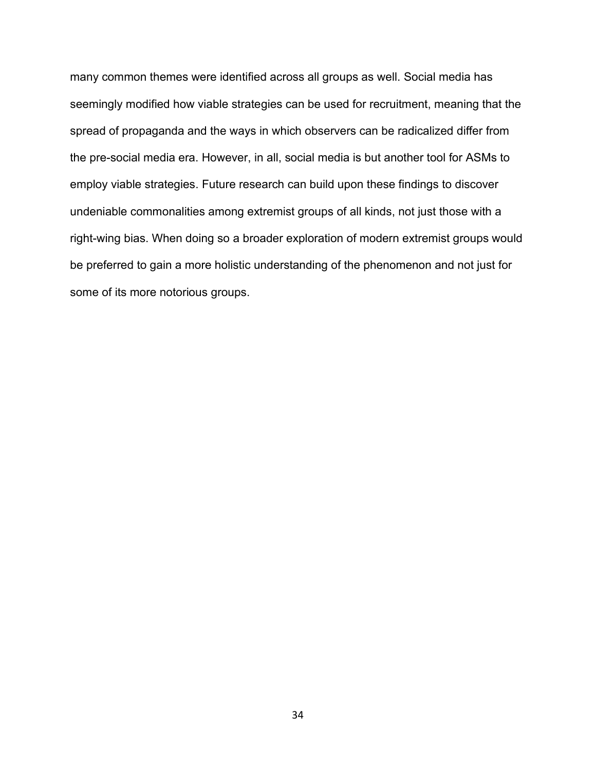many common themes were identified across all groups as well. Social media has seemingly modified how viable strategies can be used for recruitment, meaning that the spread of propaganda and the ways in which observers can be radicalized differ from the pre-social media era. However, in all, social media is but another tool for ASMs to employ viable strategies. Future research can build upon these findings to discover undeniable commonalities among extremist groups of all kinds, not just those with a right-wing bias. When doing so a broader exploration of modern extremist groups would be preferred to gain a more holistic understanding of the phenomenon and not just for some of its more notorious groups.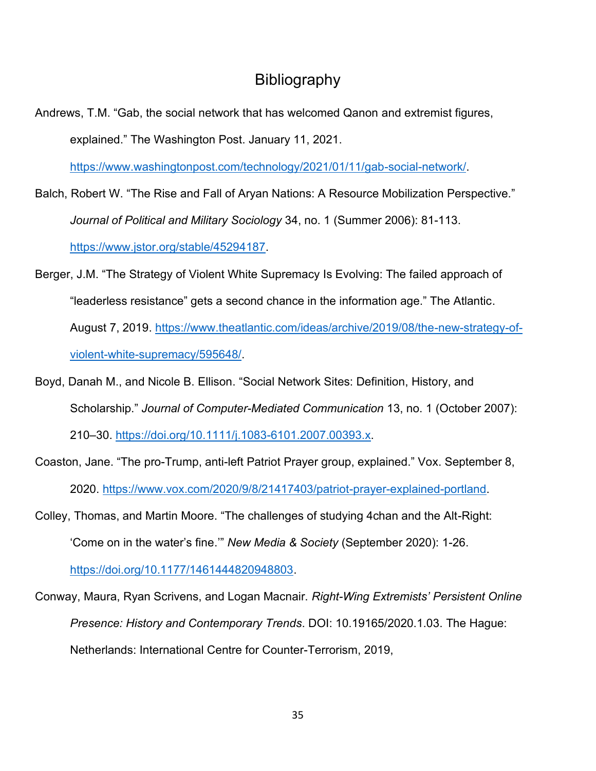# Bibliography

<span id="page-37-0"></span>Andrews, T.M. "Gab, the social network that has welcomed Qanon and extremist figures, explained." The Washington Post. January 11, 2021.

[https://www.washingtonpost.com/technology/2021/01/11/gab-social-network/.](https://www.washingtonpost.com/technology/2021/01/11/gab-social-network/)

- Balch, Robert W. "The Rise and Fall of Aryan Nations: A Resource Mobilization Perspective." *Journal of Political and Military Sociology* 34, no. 1 (Summer 2006): 81-113. [https://www.jstor.org/stable/45294187.](https://www.jstor.org/stable/45294187)
- Berger, J.M. "The Strategy of Violent White Supremacy Is Evolving: The failed approach of "leaderless resistance" gets a second chance in the information age." The Atlantic. August 7, 2019. [https://www.theatlantic.com/ideas/archive/2019/08/the-new-strategy-of](https://www.theatlantic.com/ideas/archive/2019/08/the-new-strategy-of-violent-white-supremacy/595648/)[violent-white-supremacy/595648/.](https://www.theatlantic.com/ideas/archive/2019/08/the-new-strategy-of-violent-white-supremacy/595648/)
- Boyd, Danah M., and Nicole B. Ellison. "Social Network Sites: Definition, History, and Scholarship." *Journal of Computer-Mediated Communication* 13, no. 1 (October 2007): 210–30. [https://doi.org/10.1111/j.1083-6101.2007.00393.x.](https://doi.org/10.1111/j.1083-6101.2007.00393.x)
- Coaston, Jane. "The pro-Trump, anti-left Patriot Prayer group, explained." Vox. September 8, 2020. [https://www.vox.com/2020/9/8/21417403/patriot-prayer-explained-portland.](https://www.vox.com/2020/9/8/21417403/patriot-prayer-explained-portland)
- Colley, Thomas, and Martin Moore. "The challenges of studying 4chan and the Alt-Right: 'Come on in the water's fine.'" *New Media & Society* (September 2020): 1-26. [https://doi.org/10.1177/1461444820948803.](https://doi.org/10.1177/1461444820948803)
- Conway, Maura, Ryan Scrivens, and Logan Macnair. *Right-Wing Extremists' Persistent Online Presence: History and Contemporary Trends*. DOI: 10.19165/2020.1.03. The Hague: Netherlands: International Centre for Counter-Terrorism, 2019,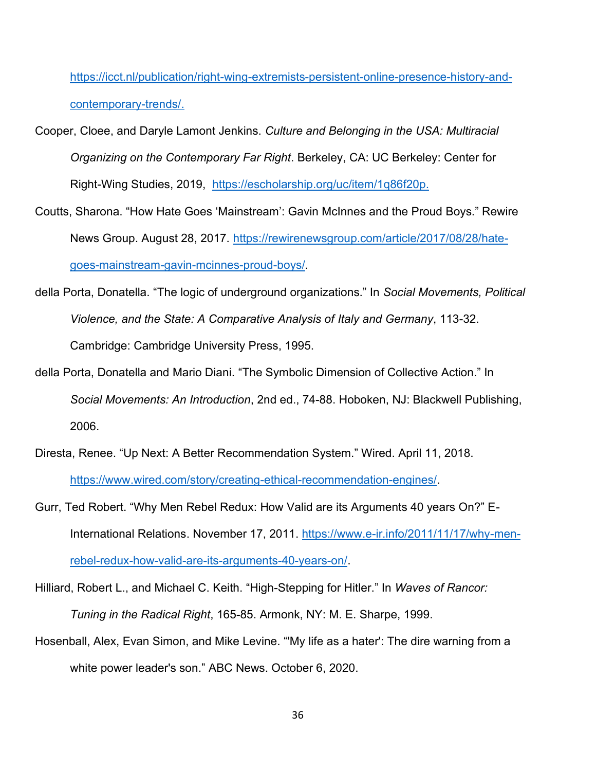https://icct.nl/publication/right-wing-extremists-persistent-online-presence-history-andcontemporary-trends/.

- Cooper, Cloee, and Daryle Lamont Jenkins. *Culture and Belonging in the USA: Multiracial Organizing on the Contemporary Far Right*. Berkeley, CA: UC Berkeley: Center for Right-Wing Studies, 2019, [https://escholarship.org/uc/item/1q86f20p.](https://escholarship.org/uc/item/1q86f20p)
- Coutts, Sharona. "How Hate Goes 'Mainstream': Gavin McInnes and the Proud Boys." Rewire News Group. August 28, 2017. [https://rewirenewsgroup.com/article/2017/08/28/hate](https://rewirenewsgroup.com/article/2017/08/28/hate-goes-mainstream-gavin-mcinnes-proud-boys/)[goes-mainstream-gavin-mcinnes-proud-boys/.](https://rewirenewsgroup.com/article/2017/08/28/hate-goes-mainstream-gavin-mcinnes-proud-boys/)
- della Porta, Donatella. "The logic of underground organizations." In *Social Movements, Political Violence, and the State: A Comparative Analysis of Italy and Germany*, 113-32. Cambridge: Cambridge University Press, 1995.
- della Porta, Donatella and Mario Diani. "The Symbolic Dimension of Collective Action." In *Social Movements: An Introduction*, 2nd ed., 74-88. Hoboken, NJ: Blackwell Publishing, 2006.
- Diresta, Renee. "Up Next: A Better Recommendation System." Wired. April 11, 2018. [https://www.wired.com/story/creating-ethical-recommendation-engines/.](https://www.wired.com/story/creating-ethical-recommendation-engines/)
- Gurr, Ted Robert. "Why Men Rebel Redux: How Valid are its Arguments 40 years On?" E-International Relations. November 17, 2011. [https://www.e-ir.info/2011/11/17/why-men](https://www.e-ir.info/2011/11/17/why-men-rebel-redux-how-valid-are-its-arguments-40-years-on/)[rebel-redux-how-valid-are-its-arguments-40-years-on/.](https://www.e-ir.info/2011/11/17/why-men-rebel-redux-how-valid-are-its-arguments-40-years-on/)
- Hilliard, Robert L., and Michael C. Keith. "High-Stepping for Hitler." In *Waves of Rancor: Tuning in the Radical Right*, 165-85. Armonk, NY: M. E. Sharpe, 1999.
- Hosenball, Alex, Evan Simon, and Mike Levine. "'My life as a hater': The dire warning from a white power leader's son." ABC News. October 6, 2020.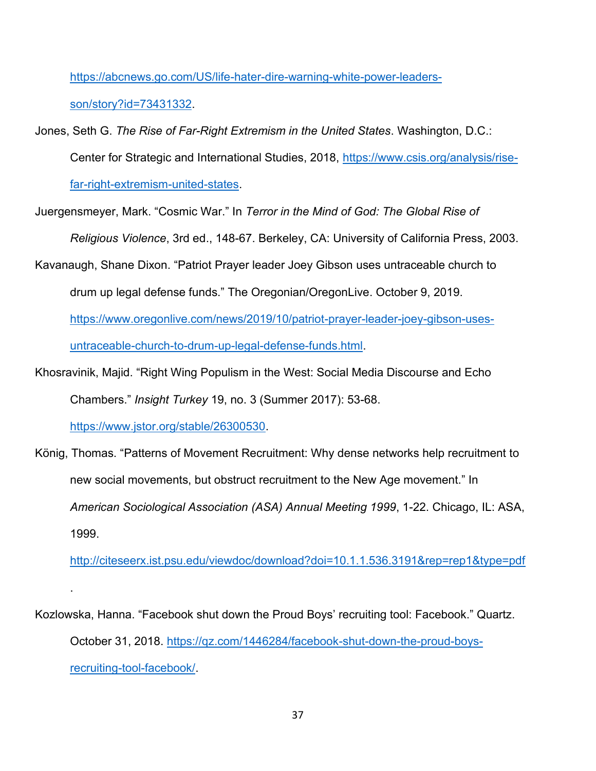[https://abcnews.go.com/US/life-hater-dire-warning-white-power-leaders-](https://abcnews.go.com/US/life-hater-dire-warning-white-power-leaders-son/story?id=73431332)

[son/story?id=73431332.](https://abcnews.go.com/US/life-hater-dire-warning-white-power-leaders-son/story?id=73431332)

Jones, Seth G. *The Rise of Far-Right Extremism in the United States*. Washington, D.C.:

Center for Strategic and International Studies, 2018, [https://www.csis.org/analysis/rise-](https://www.csis.org/analysis/rise-far-right-extremism-united-states)

[far-right-extremism-united-states.](https://www.csis.org/analysis/rise-far-right-extremism-united-states)

Juergensmeyer, Mark. "Cosmic War." In *Terror in the Mind of God: The Global Rise of Religious Violence*, 3rd ed., 148-67. Berkeley, CA: University of California Press, 2003.

Kavanaugh, Shane Dixon. "Patriot Prayer leader Joey Gibson uses untraceable church to drum up legal defense funds." The Oregonian/OregonLive. October 9, 2019.

[https://www.oregonlive.com/news/2019/10/patriot-prayer-leader-joey-gibson-uses](https://www.oregonlive.com/news/2019/10/patriot-prayer-leader-joey-gibson-uses-untraceable-church-to-drum-up-legal-defense-funds.html)[untraceable-church-to-drum-up-legal-defense-funds.html.](https://www.oregonlive.com/news/2019/10/patriot-prayer-leader-joey-gibson-uses-untraceable-church-to-drum-up-legal-defense-funds.html)

Khosravinik, Majid. "Right Wing Populism in the West: Social Media Discourse and Echo Chambers." *Insight Turkey* 19, no. 3 (Summer 2017): 53-68.

[https://www.jstor.org/stable/26300530.](https://www.jstor.org/stable/26300530)

.

König, Thomas. "Patterns of Movement Recruitment: Why dense networks help recruitment to new social movements, but obstruct recruitment to the New Age movement." In *American Sociological Association (ASA) Annual Meeting 1999*, 1-22. Chicago, IL: ASA, 1999.

<http://citeseerx.ist.psu.edu/viewdoc/download?doi=10.1.1.536.3191&rep=rep1&type=pdf>

Kozlowska, Hanna. "Facebook shut down the Proud Boys' recruiting tool: Facebook." Quartz. October 31, 2018. [https://qz.com/1446284/facebook-shut-down-the-proud-boys](https://qz.com/1446284/facebook-shut-down-the-proud-boys-recruiting-tool-facebook/)[recruiting-tool-facebook/.](https://qz.com/1446284/facebook-shut-down-the-proud-boys-recruiting-tool-facebook/)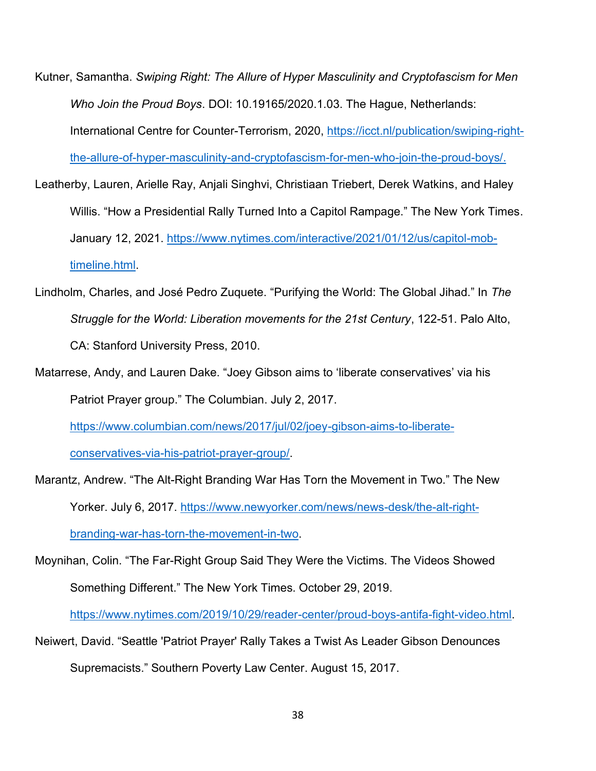- Kutner, Samantha. *Swiping Right: The Allure of Hyper Masculinity and Cryptofascism for Men Who Join the Proud Boys*. DOI: 10.19165/2020.1.03. The Hague, Netherlands: International Centre for Counter-Terrorism, 2020, [https://icct.nl/publication/swiping-right](https://icct.nl/publication/swiping-right-the-allure-of-hyper-masculinity-and-cryptofascism-for-men-who-join-the-proud-boys/)[the-allure-of-hyper-masculinity-and-cryptofascism-for-men-who-join-the-proud-boys/.](https://icct.nl/publication/swiping-right-the-allure-of-hyper-masculinity-and-cryptofascism-for-men-who-join-the-proud-boys/)
- Leatherby, Lauren, Arielle Ray, Anjali Singhvi, Christiaan Triebert, Derek Watkins, and Haley Willis. "How a Presidential Rally Turned Into a Capitol Rampage." The New York Times. January 12, 2021. [https://www.nytimes.com/interactive/2021/01/12/us/capitol-mob](https://www.nytimes.com/interactive/2021/01/12/us/capitol-mob-timeline.html)[timeline.html.](https://www.nytimes.com/interactive/2021/01/12/us/capitol-mob-timeline.html)
- Lindholm, Charles, and José Pedro Zuquete. "Purifying the World: The Global Jihad." In *The Struggle for the World: Liberation movements for the 21st Century*, 122-51. Palo Alto, CA: Stanford University Press, 2010.
- Matarrese, Andy, and Lauren Dake. "Joey Gibson aims to 'liberate conservatives' via his Patriot Prayer group." The Columbian. July 2, 2017.

[https://www.columbian.com/news/2017/jul/02/joey-gibson-aims-to-liberate-](https://www.columbian.com/news/2017/jul/02/joey-gibson-aims-to-liberate-conservatives-via-his-patriot-prayer-group/)

[conservatives-via-his-patriot-prayer-group/.](https://www.columbian.com/news/2017/jul/02/joey-gibson-aims-to-liberate-conservatives-via-his-patriot-prayer-group/)

- Marantz, Andrew. "The Alt-Right Branding War Has Torn the Movement in Two." The New Yorker. July 6, 2017. [https://www.newyorker.com/news/news-desk/the-alt-right](https://www.newyorker.com/news/news-desk/the-alt-right-branding-war-has-torn-the-movement-in-two)[branding-war-has-torn-the-movement-in-two.](https://www.newyorker.com/news/news-desk/the-alt-right-branding-war-has-torn-the-movement-in-two)
- Moynihan, Colin. "The Far-Right Group Said They Were the Victims. The Videos Showed Something Different." The New York Times. October 29, 2019.

[https://www.nytimes.com/2019/10/29/reader-center/proud-boys-antifa-fight-video.html.](https://www.nytimes.com/2019/10/29/reader-center/proud-boys-antifa-fight-video.html)

Neiwert, David. "Seattle 'Patriot Prayer' Rally Takes a Twist As Leader Gibson Denounces Supremacists." Southern Poverty Law Center. August 15, 2017.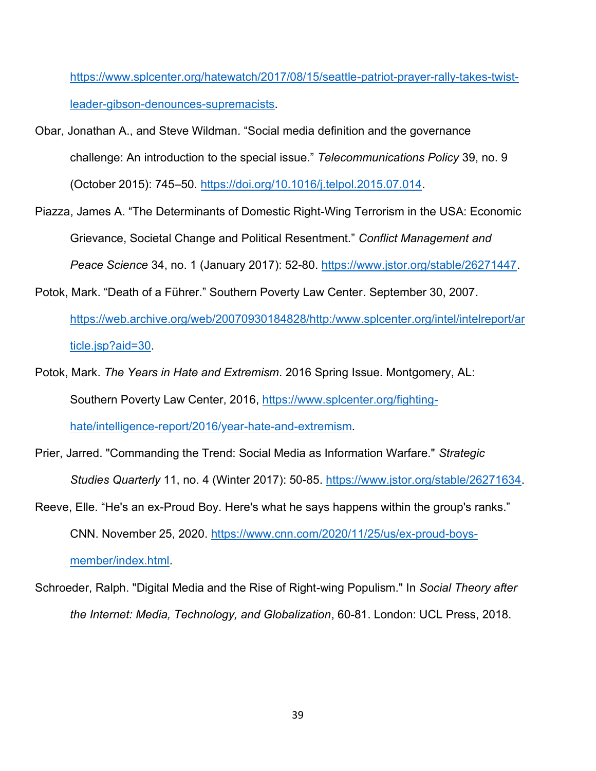[https://www.splcenter.org/hatewatch/2017/08/15/seattle-patriot-prayer-rally-takes-twist](https://www.splcenter.org/hatewatch/2017/08/15/seattle-patriot-prayer-rally-takes-twist-leader-gibson-denounces-supremacists)[leader-gibson-denounces-supremacists.](https://www.splcenter.org/hatewatch/2017/08/15/seattle-patriot-prayer-rally-takes-twist-leader-gibson-denounces-supremacists)

- Obar, Jonathan A., and Steve Wildman. "Social media definition and the governance challenge: An introduction to the special issue." *Telecommunications Policy* 39, no. 9 (October 2015): 745–50. [https://doi.org/10.1016/j.telpol.2015.07.014.](https://doi.org/10.1016/j.telpol.2015.07.014)
- Piazza, James A. "The Determinants of Domestic Right-Wing Terrorism in the USA: Economic Grievance, Societal Change and Political Resentment." *Conflict Management and Peace Science* 34, no. 1 (January 2017): 52-80. [https://www.jstor.org/stable/26271447.](https://www.jstor.org/stable/26271447)
- Potok, Mark. "Death of a Führer." Southern Poverty Law Center. September 30, 2007. [https://web.archive.org/web/20070930184828/http:/www.splcenter.org/intel/intelreport/ar](https://web.archive.org/web/20070930184828/http:/www.splcenter.org/intel/intelreport/article.jsp?aid=30) [ticle.jsp?aid=30.](https://web.archive.org/web/20070930184828/http:/www.splcenter.org/intel/intelreport/article.jsp?aid=30)
- Potok, Mark. *The Years in Hate and Extremism*. 2016 Spring Issue. Montgomery, AL: Southern Poverty Law Center, 2016, [https://www.splcenter.org/fighting](https://www.splcenter.org/fighting-hate/intelligence-report/2016/year-hate-and-extremism)[hate/intelligence-report/2016/year-hate-and-extremism.](https://www.splcenter.org/fighting-hate/intelligence-report/2016/year-hate-and-extremism)
- Prier, Jarred. "Commanding the Trend: Social Media as Information Warfare." *Strategic Studies Quarterly* 11, no. 4 (Winter 2017): 50-85. [https://www.jstor.org/stable/26271634.](https://www.jstor.org/stable/26271634)
- Reeve, Elle. "He's an ex-Proud Boy. Here's what he says happens within the group's ranks." CNN. November 25, 2020. [https://www.cnn.com/2020/11/25/us/ex-proud-boys](https://www.cnn.com/2020/11/25/us/ex-proud-boys-member/index.html)[member/index.html.](https://www.cnn.com/2020/11/25/us/ex-proud-boys-member/index.html)
- Schroeder, Ralph. "Digital Media and the Rise of Right-wing Populism." In *Social Theory after the Internet: Media, Technology, and Globalization*, 60-81. London: UCL Press, 2018.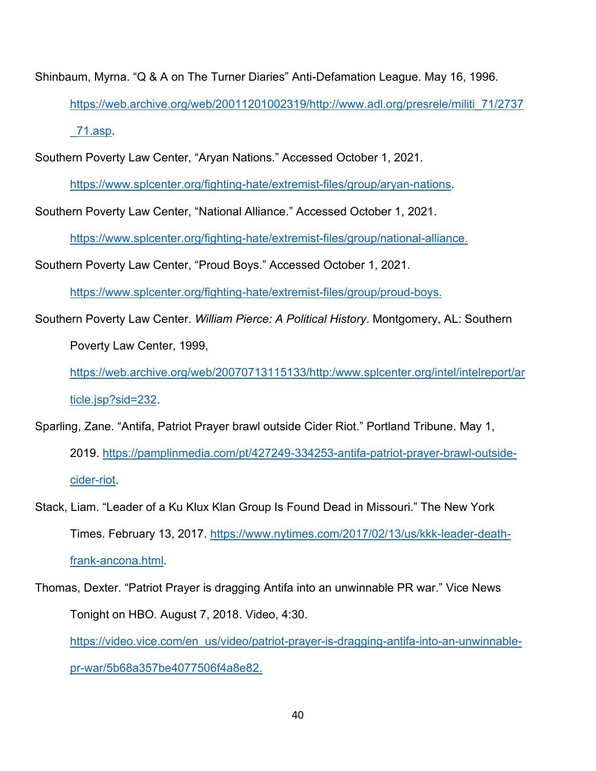Shinbaum, Myrna. "Q & A on The Turner Diaries" Anti-Defamation League. May 16, 1996. [https://web.archive.org/web/20011201002319/http://www.adl.org/presrele/militi\\_71/2737](https://web.archive.org/web/20011201002319/http:/www.adl.org/presrele/militi_71/2737_71.asp) [\\_71.asp.](https://web.archive.org/web/20011201002319/http:/www.adl.org/presrele/militi_71/2737_71.asp)

Southern Poverty Law Center, "Aryan Nations." Accessed October 1, 2021.

[https://www.splcenter.org/fighting-hate/extremist-files/group/aryan-nations.](https://www.splcenter.org/fighting-hate/extremist-files/group/aryan-nations)

Southern Poverty Law Center, "National Alliance." Accessed October 1, 2021.

[https://www.splcenter.org/fighting-hate/extremist-files/group/national-alliance.](https://www.splcenter.org/fighting-hate/extremist-files/group/national-alliance)

Southern Poverty Law Center, "Proud Boys." Accessed October 1, 2021.

[https://www.splcenter.org/fighting-hate/extremist-files/group/proud-boys.](https://www.splcenter.org/fighting-hate/extremist-files/group/proud-boys)

Southern Poverty Law Center. *William Pierce: A Political History*. Montgomery, AL: Southern Poverty Law Center, 1999,

[https://web.archive.org/web/20070713115133/http:/www.splcenter.org/intel/intelreport/ar](https://web.archive.org/web/20070713115133/http:/www.splcenter.org/intel/intelreport/article.jsp?sid=232) [ticle.jsp?sid=232.](https://web.archive.org/web/20070713115133/http:/www.splcenter.org/intel/intelreport/article.jsp?sid=232)

Sparling, Zane. "Antifa, Patriot Prayer brawl outside Cider Riot." Portland Tribune. May 1, 2019. [https://pamplinmedia.com/pt/427249-334253-antifa-patriot-prayer-brawl-outside](https://pamplinmedia.com/pt/427249-334253-antifa-patriot-prayer-brawl-outside-cider-riot)[cider-riot.](https://pamplinmedia.com/pt/427249-334253-antifa-patriot-prayer-brawl-outside-cider-riot)

Stack, Liam. "Leader of a Ku Klux Klan Group Is Found Dead in Missouri." The New York Times. February 13, 2017. [https://www.nytimes.com/2017/02/13/us/kkk-leader-death](https://www.nytimes.com/2017/02/13/us/kkk-leader-death-frank-ancona.html)[frank-ancona.html.](https://www.nytimes.com/2017/02/13/us/kkk-leader-death-frank-ancona.html)

Thomas, Dexter. "Patriot Prayer is dragging Antifa into an unwinnable PR war." Vice News Tonight on HBO. August 7, 2018. Video, 4:30.

[https://video.vice.com/en\\_us/video/patriot-prayer-is-dragging-antifa-into-an-unwinnable](https://video.vice.com/en_us/video/patriot-prayer-is-dragging-antifa-into-an-unwinnable-pr-war/5b68a357be4077506f4a8e82)[pr-war/5b68a357be4077506f4a8e82.](https://video.vice.com/en_us/video/patriot-prayer-is-dragging-antifa-into-an-unwinnable-pr-war/5b68a357be4077506f4a8e82)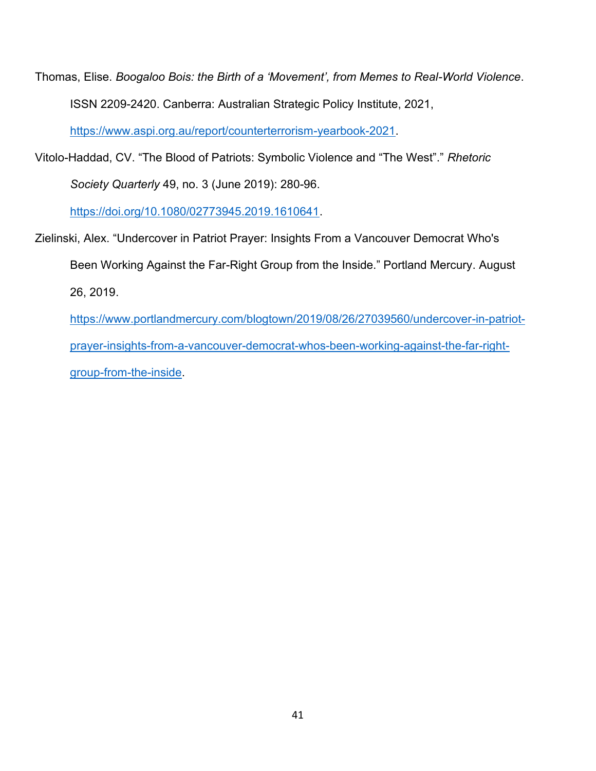Thomas, Elise. *Boogaloo Bois: the Birth of a 'Movement', from Memes to Real-World Violence*. ISSN 2209-2420. Canberra: Australian Strategic Policy Institute, 2021,

[https://www.aspi.org.au/report/counterterrorism-yearbook-2021.](https://www.aspi.org.au/report/counterterrorism-yearbook-2021)

Vitolo-Haddad, CV. "The Blood of Patriots: Symbolic Violence and "The West"." *Rhetoric Society Quarterly* 49, no. 3 (June 2019): 280-96.

[https://doi.org/10.1080/02773945.2019.1610641.](https://doi.org/10.1080/02773945.2019.1610641)

- Zielinski, Alex. "Undercover in Patriot Prayer: Insights From a Vancouver Democrat Who's Been Working Against the Far-Right Group from the Inside." Portland Mercury. August 26, 2019.
	- [https://www.portlandmercury.com/blogtown/2019/08/26/27039560/undercover-in-patriot](https://www.portlandmercury.com/blogtown/2019/08/26/27039560/undercover-in-patriot-prayer-insights-from-a-vancouver-democrat-whos-been-working-against-the-far-right-group-from-the-inside)[prayer-insights-from-a-vancouver-democrat-whos-been-working-against-the-far-right](https://www.portlandmercury.com/blogtown/2019/08/26/27039560/undercover-in-patriot-prayer-insights-from-a-vancouver-democrat-whos-been-working-against-the-far-right-group-from-the-inside)[group-from-the-inside.](https://www.portlandmercury.com/blogtown/2019/08/26/27039560/undercover-in-patriot-prayer-insights-from-a-vancouver-democrat-whos-been-working-against-the-far-right-group-from-the-inside)